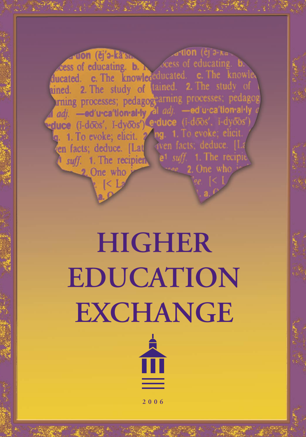

# **HIGHER EDUCATION EXCHANGE**



**2006**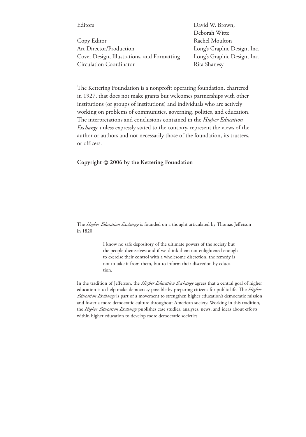Copy Editor Rachel Moulton Art Director/Production Long's Graphic Design, Inc. Cover Design, Illustrations, and Formatting Long's Graphic Design, Inc. Circulation Coordinator **Rita Shanesy** 

Editors David W. Brown, Deborah Witte

The Kettering Foundation is a nonprofit operating foundation, chartered in 1927, that does not make grants but welcomes partnerships with other institutions (or groups of institutions) and individuals who are actively working on problems of communities, governing, politics, and education. The interpretations and conclusions contained in the *Higher Education Exchange* unless expressly stated to the contrary, represent the views of the author or authors and not necessarily those of the foundation, its trustees, or officers.

#### **Copyright © 2006 by the Kettering Foundation**

The *Higher Education Exchange* is founded on a thought articulated by Thomas Jefferson in 1820:

> I know no safe depository of the ultimate powers of the society but the people themselves; and if we think them not enlightened enough to exercise their control with a wholesome discretion, the remedy is not to take it from them, but to inform their discretion by education.

In the tradition of Jefferson, the *Higher Education Exchange* agrees that a central goal of higher education is to help make democracy possible by preparing citizens for public life. The *Higher Education Exchange* is part of a movement to strengthen higher education's democratic mission and foster a more democratic culture throughout American society. Working in this tradition, the *Higher Education Exchange* publishes case studies, analyses, news, and ideas about efforts within higher education to develop more democratic societies.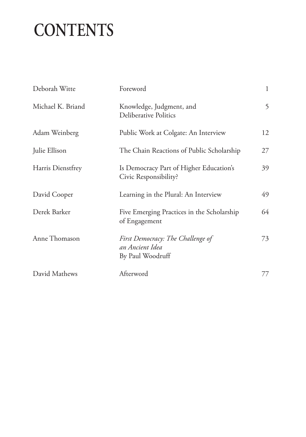## **CONTENTS**

| Deborah Witte     | Foreword                                                                 | 1  |
|-------------------|--------------------------------------------------------------------------|----|
| Michael K. Briand | Knowledge, Judgment, and<br><b>Deliberative Politics</b>                 | 5  |
| Adam Weinberg     | Public Work at Colgate: An Interview                                     | 12 |
| Julie Ellison     | The Chain Reactions of Public Scholarship                                | 27 |
| Harris Dienstfrey | Is Democracy Part of Higher Education's<br>Civic Responsibility?         | 39 |
| David Cooper      | Learning in the Plural: An Interview                                     | 49 |
| Derek Barker      | Five Emerging Practices in the Scholarship<br>of Engagement              | 64 |
| Anne Thomason     | First Democracy: The Challenge of<br>an Ancient Idea<br>By Paul Woodruff | 73 |
| David Mathews     | Afterword                                                                | 77 |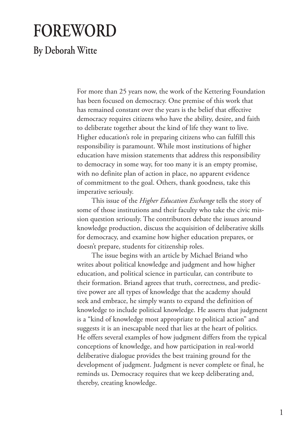### **FOREWORD**

**By Deborah Witte**

For more than 25 years now, the work of the Kettering Foundation has been focused on democracy. One premise of this work that has remained constant over the years is the belief that effective democracy requires citizens who have the ability, desire, and faith to deliberate together about the kind of life they want to live. Higher education's role in preparing citizens who can fulfill this responsibility is paramount. While most institutions of higher education have mission statements that address this responsibility to democracy in some way, for too many it is an empty promise, with no definite plan of action in place, no apparent evidence of commitment to the goal. Others, thank goodness, take this imperative seriously.

This issue of the *Higher Education Exchange* tells the story of some of those institutions and their faculty who take the civic mission question seriously. The contributors debate the issues around knowledge production, discuss the acquisition of deliberative skills for democracy, and examine how higher education prepares, or doesn't prepare, students for citizenship roles.

The issue begins with an article by Michael Briand who writes about political knowledge and judgment and how higher education, and political science in particular, can contribute to their formation. Briand agrees that truth, correctness, and predictive power are all types of knowledge that the academy should seek and embrace, he simply wants to expand the definition of knowledge to include political knowledge. He asserts that judgment is a "kind of knowledge most appropriate to political action" and suggests it is an inescapable need that lies at the heart of politics. He offers several examples of how judgment differs from the typical conceptions of knowledge, and how participation in real-world deliberative dialogue provides the best training ground for the development of judgment. Judgment is never complete or final, he reminds us. Democracy requires that we keep deliberating and, thereby, creating knowledge.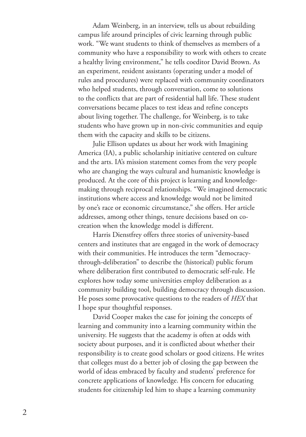Adam Weinberg, in an interview, tells us about rebuilding campus life around principles of civic learning through public work. "We want students to think of themselves as members of a community who have a responsibility to work with others to create a healthy living environment," he tells coeditor David Brown. As an experiment, resident assistants (operating under a model of rules and procedures) were replaced with community coordinators who helped students, through conversation, come to solutions to the conflicts that are part of residential hall life. These student conversations became places to test ideas and refine concepts about living together. The challenge, for Weinberg, is to take students who have grown up in non-civic communities and equip them with the capacity and skills to be citizens.

Julie Ellison updates us about her work with Imagining America (IA), a public scholarship initiative centered on culture and the arts. IA's mission statement comes from the very people who are changing the ways cultural and humanistic knowledge is produced. At the core of this project is learning and knowledgemaking through reciprocal relationships. "We imagined democratic institutions where access and knowledge would not be limited by one's race or economic circumstance," she offers. Her article addresses, among other things, tenure decisions based on cocreation when the knowledge model is different.

Harris Dienstfrey offers three stories of university-based centers and institutes that are engaged in the work of democracy with their communities. He introduces the term "democracythrough-deliberation" to describe the (historical) public forum where deliberation first contributed to democratic self-rule. He explores how today some universities employ deliberation as a community building tool, building democracy through discussion. He poses some provocative questions to the readers of *HEX* that I hope spur thoughtful responses.

David Cooper makes the case for joining the concepts of learning and community into a learning community within the university. He suggests that the academy is often at odds with society about purposes, and it is conflicted about whether their responsibility is to create good scholars or good citizens. He writes that colleges must do a better job of closing the gap between the world of ideas embraced by faculty and students' preference for concrete applications of knowledge. His concern for educating students for citizenship led him to shape a learning community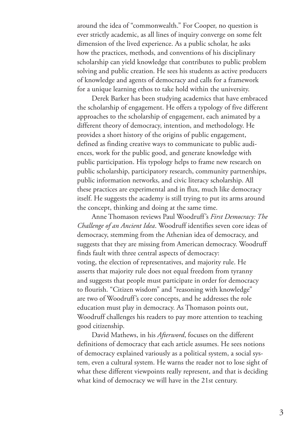around the idea of "commonwealth." For Cooper, no question is ever strictly academic, as all lines of inquiry converge on some felt dimension of the lived experience. As a public scholar, he asks how the practices, methods, and conventions of his disciplinary scholarship can yield knowledge that contributes to public problem solving and public creation. He sees his students as active producers of knowledge and agents of democracy and calls for a framework for a unique learning ethos to take hold within the university.

Derek Barker has been studying academics that have embraced the scholarship of engagement. He offers a typology of five different approaches to the scholarship of engagement, each animated by a different theory of democracy, intention, and methodology. He provides a short history of the origins of public engagement, defined as finding creative ways to communicate to public audiences, work for the public good, and generate knowledge with public participation. His typology helps to frame new research on public scholarship, participatory research, community partnerships, public information networks, and civic literacy scholarship. All these practices are experimental and in flux, much like democracy itself. He suggests the academy is still trying to put its arms around the concept, thinking and doing at the same time.

Anne Thomason reviews Paul Woodruff's *First Democracy: The Challenge of an Ancient Idea*. Woodruff identifies seven core ideas of democracy, stemming from the Athenian idea of democracy, and suggests that they are missing from American democracy. Woodruff finds fault with three central aspects of democracy: voting, the election of representatives, and majority rule. He asserts that majority rule does not equal freedom from tyranny and suggests that people must participate in order for democracy to flourish. "Citizen wisdom" and "reasoning with knowledge" are two of Woodruff's core concepts, and he addresses the role education must play in democracy. As Thomason points out, Woodruff challenges his readers to pay more attention to teaching good citizenship.

David Mathews, in his *Afterword*, focuses on the different definitions of democracy that each article assumes. He sees notions of democracy explained variously as a political system, a social system, even a cultural system. He warns the reader not to lose sight of what these different viewpoints really represent, and that is deciding what kind of democracy we will have in the 21st century.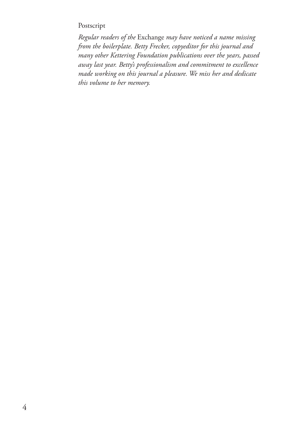#### Postscript

*Regular readers of the* Exchange *may have noticed a name missing from the boilerplate. Betty Frecker, copyeditor for this journal and many other Kettering Foundation publications over the years, passed away last year. Betty's professionalism and commitment to excellence made working on this journal a pleasure. We miss her and dedicate this volume to her memory.*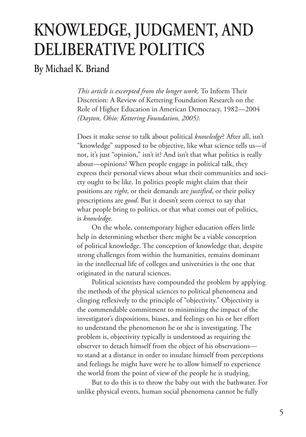### **KNOWLEDGE, JUDGMENT, AND DELIBERATIVE POLITICS**

#### **By Michael K. Briand**

*This article is excerpted from the longer work,* To Inform Their Discretion: A Review of Kettering Foundation Research on the Role of Higher Education in American Democracy, 1982—2004 *(Dayton, Ohio: Kettering Foundation, 2005).*

Does it make sense to talk about political *knowledge*? After all, isn't "knowledge" supposed to be objective, like what science tells us—if not, it's just "opinion," isn't it? And isn't that what politics is really about—opinions? When people engage in political talk, they express their personal views about what their communities and society ought to be like. In politics people might claim that their positions are *right*, or their demands are *justified*, or their policy prescriptions are *good*. But it doesn't seem correct to say that what people bring to politics, or that what comes out of politics, is *knowledge*.

On the whole, contemporary higher education offers little help in determining whether there might be a viable conception of political knowledge. The conception of knowledge that, despite strong challenges from within the humanities, remains dominant in the intellectual life of colleges and universities is the one that originated in the natural sciences.

Political scientists have compounded the problem by applying the methods of the physical sciences to political phenomena and clinging reflexively to the principle of "objectivity." Objectivity is the commendable commitment to minimizing the impact of the investigator's dispositions, biases, and feelings on his or her effort to understand the phenomenon he or she is investigating. The problem is, objectivity typically is understood as requiring the observer to detach himself from the object of his observations to stand at a distance in order to insulate himself from perceptions and feelings he might have were he to allow himself to experience the world from the point of view of the people he is studying.

But to do this is to throw the baby out with the bathwater. For unlike physical events, human social phenomena cannot be fully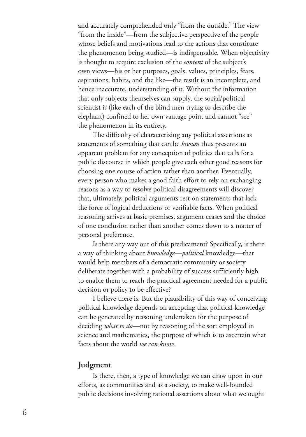and accurately comprehended only "from the outside." The view "from the inside"—from the subjective perspective of the people whose beliefs and motivations lead to the actions that constitute the phenomenon being studied—is indispensable. When objectivity is thought to require exclusion of the *content* of the subject's own views—his or her purposes, goals, values, principles, fears, aspirations, habits, and the like—the result is an incomplete, and hence inaccurate, understanding of it. Without the information that only subjects themselves can supply, the social/political scientist is (like each of the blind men trying to describe the elephant) confined to her own vantage point and cannot "see" the phenomenon in its entirety.

The difficulty of characterizing any political assertions as statements of something that can be *known* thus presents an apparent problem for any conception of politics that calls for a public discourse in which people give each other good reasons for choosing one course of action rather than another. Eventually, every person who makes a good faith effort to rely on exchanging reasons as a way to resolve political disagreements will discover that, ultimately, political arguments rest on statements that lack the force of logical deductions or verifiable facts. When political reasoning arrives at basic premises, argument ceases and the choice of one conclusion rather than another comes down to a matter of personal preference.

Is there any way out of this predicament? Specifically, is there a way of thinking about *knowledge*—*political* knowledge—that would help members of a democratic community or society deliberate together with a probability of success sufficiently high to enable them to reach the practical agreement needed for a public decision or policy to be effective?

I believe there is. But the plausibility of this way of conceiving political knowledge depends on accepting that political knowledge can be generated by reasoning undertaken for the purpose of deciding *what to do*—not by reasoning of the sort employed in science and mathematics, the purpose of which is to ascertain what facts about the world *we can know*.

#### **Judgment**

Is there, then, a type of knowledge we can draw upon in our efforts, as communities and as a society, to make well-founded public decisions involving rational assertions about what we ought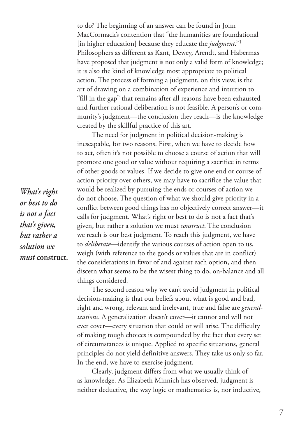to do? The beginning of an answer can be found in John MacCormack's contention that "the humanities are foundational [in higher education] because they educate the *judgment*."1 Philosophers as different as Kant, Dewey, Arendt, and Habermas have proposed that judgment is not only a valid form of knowledge; it is also the kind of knowledge most appropriate to political action. The process of forming a judgment, on this view, is the art of drawing on a combination of experience and intuition to "fill in the gap" that remains after all reasons have been exhausted and further rational deliberation is not feasible. A person's or community's judgment—the conclusion they reach—is the knowledge created by the skillful practice of this art.

The need for judgment in political decision-making is inescapable, for two reasons. First, when we have to decide how to act, often it's not possible to choose a course of action that will promote one good or value without requiring a sacrifice in terms of other goods or values. If we decide to give one end or course of action priority over others, we may have to sacrifice the value that would be realized by pursuing the ends or courses of action we do not choose. The question of what we should give priority in a conflict between good things has no objectively correct answer—it calls for judgment. What's right or best to do is not a fact that's given, but rather a solution we must *construct*. The conclusion we reach is our best judgment. To reach this judgment, we have to *deliberate*—identify the various courses of action open to us, weigh (with reference to the goods or values that are in conflict) the considerations in favor of and against each option, and then discern what seems to be the wisest thing to do, on-balance and all things considered.

The second reason why we can't avoid judgment in political decision-making is that our beliefs about what is good and bad, right and wrong, relevant and irrelevant, true and false are *generalizations*. A generalization doesn't cover—it cannot and will not ever cover—every situation that could or will arise. The difficulty of making tough choices is compounded by the fact that every set of circumstances is unique. Applied to specific situations, general principles do not yield definitive answers. They take us only so far. In the end, we have to exercise judgment.

Clearly, judgment differs from what we usually think of as knowledge. As Elizabeth Minnich has observed, judgment is neither deductive, the way logic or mathematics is, nor inductive,

*What's right or best to do is not a fact that's given, but rather a solution we must* **construct***.*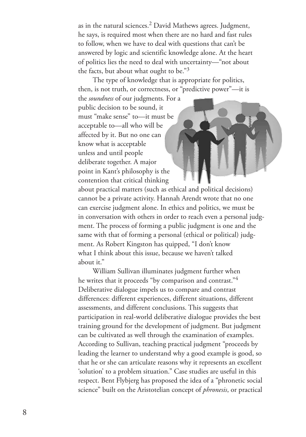as in the natural sciences.<sup>2</sup> David Mathews agrees. Judgment, he says, is required most when there are no hard and fast rules to follow, when we have to deal with questions that can't be answered by logic and scientific knowledge alone. At the heart of politics lies the need to deal with uncertainty—"not about the facts, but about what ought to be."3

The type of knowledge that is appropriate for politics, then, is not truth, or correctness, or "predictive power"—it is the *soundness* of our judgments. For a public decision to be sound, it must "make sense" to—it must be acceptable to—all who will be affected by it. But no one can know what is acceptable unless and until people deliberate together. A major point in Kant's philosophy is the contention that critical thinking about practical matters (such as ethical and political decisions) cannot be a private activity. Hannah Arendt wrote that no one can exercise judgment alone. In ethics and politics, we must be in conversation with others in order to reach even a personal judgment. The process of forming a public judgment is one and the same with that of forming a personal (ethical or political) judgment. As Robert Kingston has quipped, "I don't know

what I think about this issue, because we haven't talked about it."

William Sullivan illuminates judgment further when he writes that it proceeds "by comparison and contrast."<sup>4</sup> Deliberative dialogue impels us to compare and contrast differences: different experiences, different situations, different assessments, and different conclusions. This suggests that participation in real-world deliberative dialogue provides the best training ground for the development of judgment. But judgment can be cultivated as well through the examination of examples. According to Sullivan, teaching practical judgment "proceeds by leading the learner to understand why a good example is good, so that he or she can articulate reasons why it represents an excellent 'solution' to a problem situation." Case studies are useful in this respect. Bent Flybjerg has proposed the idea of a "phronetic social science" built on the Aristotelian concept of *phronesis*, or practical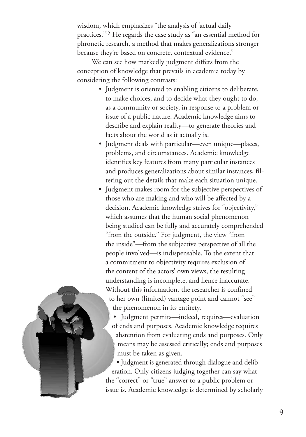wisdom, which emphasizes "the analysis of 'actual daily practices.'"5 He regards the case study as "an essential method for phronetic research, a method that makes generalizations stronger because they're based on concrete, contextual evidence."

We can see how markedly judgment differs from the conception of knowledge that prevails in academia today by considering the following contrasts:

- Judgment is oriented to enabling citizens to deliberate, to make choices, and to decide what they ought to do, as a community or society, in response to a problem or issue of a public nature. Academic knowledge aims to describe and explain reality—to generate theories and facts about the world as it actually is.
- Judgment deals with particular—even unique—places, problems, and circumstances. Academic knowledge identifies key features from many particular instances and produces generalizations about similar instances, filtering out the details that make each situation unique.
- Judgment makes room for the subjective perspectives of those who are making and who will be affected by a decision. Academic knowledge strives for "objectivity," which assumes that the human social phenomenon being studied can be fully and accurately comprehended "from the outside." For judgment, the view "from the inside"—from the subjective perspective of all the people involved—is indispensable. To the extent that a commitment to objectivity requires exclusion of the content of the actors' own views, the resulting understanding is incomplete, and hence inaccurate. Without this information, the researcher is confined to her own (limited) vantage point and cannot "see" the phenomenon in its entirety.



• Judgment is generated through dialogue and deliberation. Only citizens judging together can say what the "correct" or "true" answer to a public problem or issue is. Academic knowledge is determined by scholarly

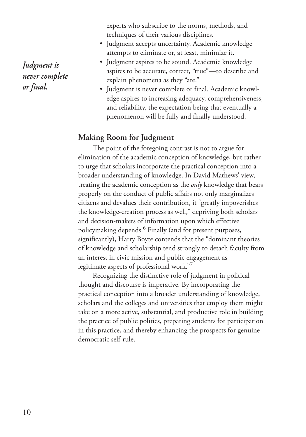experts who subscribe to the norms, methods, and techniques of their various disciplines.

- Judgment accepts uncertainty. Academic knowledge attempts to eliminate or, at least, minimize it.
- Judgment aspires to be sound. Academic knowledge aspires to be accurate, correct, "true"—to describe and explain phenomena as they "are."
- Judgment is never complete or final. Academic knowledge aspires to increasing adequacy, comprehensiveness, and reliability, the expectation being that eventually a phenomenon will be fully and finally understood.

#### **Making Room for Judgment**

The point of the foregoing contrast is not to argue for elimination of the academic conception of knowledge, but rather to urge that scholars incorporate the practical conception into a broader understanding of knowledge. In David Mathews' view, treating the academic conception as the *only* knowledge that bears properly on the conduct of public affairs not only marginalizes citizens and devalues their contribution, it "greatly impoverishes the knowledge-creation process as well," depriving both scholars and decision-makers of information upon which effective policymaking depends.6 Finally (and for present purposes, significantly), Harry Boyte contends that the "dominant theories of knowledge and scholarship tend strongly to detach faculty from an interest in civic mission and public engagement as legitimate aspects of professional work."7

Recognizing the distinctive role of judgment in political thought and discourse is imperative. By incorporating the practical conception into a broader understanding of knowledge, scholars and the colleges and universities that employ them might take on a more active, substantial, and productive role in building the practice of public politics, preparing students for participation in this practice, and thereby enhancing the prospects for genuine democratic self-rule.

*Judgment is never complete or final.*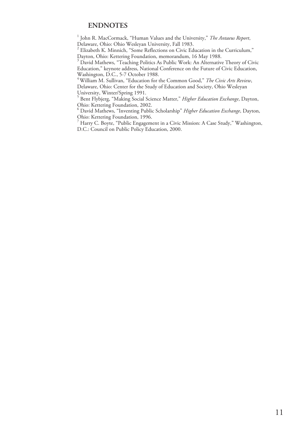#### **ENDNOTES**

<sup>1</sup> John R. MacCormack, "Human Values and the University," *The Antaeus Report*,

Delaware, Ohio: Ohio Wesleyan University, Fall 1983.<br><sup>2</sup> Elizabeth K. Minnich, "Some Reflections on Civic Education in the Curriculum," Dayton, Ohio: Kettering Foundation, memorandum, 16 May 1988.

 $^3$  David Mathews, "Teaching Politics As Public Work: An Alternative Theory of Civic Education," keynote address, National Conference on the Future of Civic Education, Washington, D.C., 5-7 October 1988.

4 William M. Sullivan, "Education for the Common Good," *The Civic Arts Review*, Delaware, Ohio: Center for the Study of Education and Society, Ohio Wesleyan University, Winter/Spring 1991.

<sup>5</sup> Bent Flybjerg, "Making Social Science Matter," *Higher Education Exchange*, Dayton, Ohio: Kettering Foundation, 2002.

<sup>6</sup> David Mathews, "Inventing Public Scholarship" *Higher Education Exchange*, Dayton, Ohio: Kettering Foundation, 1996.

 $^7$  Harry C. Boyte, "Public Engagement in a Civic Mission: A Case Study," Washington, D.C.: Council on Public Policy Education, 2000.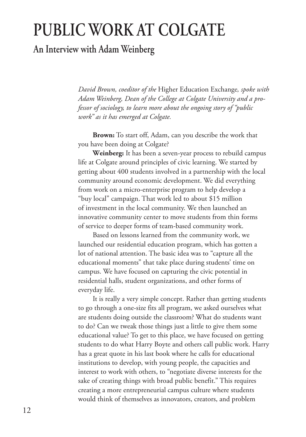### **PUBLIC WORK AT COLGATE**

### **An Interview with Adam Weinberg**

*David Brown, coeditor of the* Higher Education Exchange*, spoke with Adam Weinberg, Dean of the College at Colgate University and a professor of sociology, to learn more about the ongoing story of "public work" as it has emerged at Colgate.*

**Brown:** To start off, Adam, can you describe the work that you have been doing at Colgate?

**Weinberg:** It has been a seven-year process to rebuild campus life at Colgate around principles of civic learning. We started by getting about 400 students involved in a partnership with the local community around economic development. We did everything from work on a micro-enterprise program to help develop a "buy local" campaign. That work led to about \$15 million of investment in the local community. We then launched an innovative community center to move students from thin forms of service to deeper forms of team-based community work.

Based on lessons learned from the community work, we launched our residential education program, which has gotten a lot of national attention. The basic idea was to "capture all the educational moments" that take place during students' time on campus. We have focused on capturing the civic potential in residential halls, student organizations, and other forms of everyday life.

It is really a very simple concept. Rather than getting students to go through a one-size fits all program, we asked ourselves what are students doing outside the classroom? What do students want to do? Can we tweak those things just a little to give them some educational value? To get to this place, we have focused on getting students to do what Harry Boyte and others call public work. Harry has a great quote in his last book where he calls for educational institutions to develop, with young people, the capacities and interest to work with others, to "negotiate diverse interests for the sake of creating things with broad public benefit." This requires creating a more entrepreneurial campus culture where students would think of themselves as innovators, creators, and problem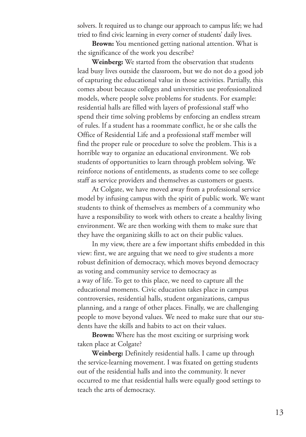solvers. It required us to change our approach to campus life; we had tried to find civic learning in every corner of students' daily lives.

**Brown:** You mentioned getting national attention. What is the significance of the work you describe?

**Weinberg:** We started from the observation that students lead busy lives outside the classroom, but we do not do a good job of capturing the educational value in those activities. Partially, this comes about because colleges and universities use professionalized models, where people solve problems for students. For example: residential halls are filled with layers of professional staff who spend their time solving problems by enforcing an endless stream of rules. If a student has a roommate conflict, he or she calls the Office of Residential Life and a professional staff member will find the proper rule or procedure to solve the problem. This is a horrible way to organize an educational environment. We rob students of opportunities to learn through problem solving. We reinforce notions of entitlements, as students come to see college staff as service providers and themselves as customers or guests.

At Colgate, we have moved away from a professional service model by infusing campus with the spirit of public work. We want students to think of themselves as members of a community who have a responsibility to work with others to create a healthy living environment. We are then working with them to make sure that they have the organizing skills to act on their public values.

In my view, there are a few important shifts embedded in this view: first, we are arguing that we need to give students a more robust definition of democracy, which moves beyond democracy as voting and community service to democracy as a way of life. To get to this place, we need to capture all the educational moments. Civic education takes place in campus controversies, residential halls, student organizations, campus planning, and a range of other places. Finally, we are challenging people to move beyond values. We need to make sure that our students have the skills and habits to act on their values.

**Brown:** Where has the most exciting or surprising work taken place at Colgate?

**Weinberg:** Definitely residential halls. I came up through the service-learning movement. I was fixated on getting students out of the residential halls and into the community. It never occurred to me that residential halls were equally good settings to teach the arts of democracy.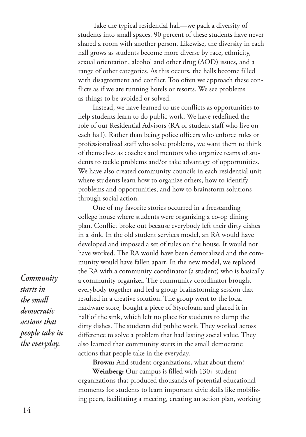Take the typical residential hall—we pack a diversity of students into small spaces. 90 percent of these students have never shared a room with another person. Likewise, the diversity in each hall grows as students become more diverse by race, ethnicity, sexual orientation, alcohol and other drug (AOD) issues, and a range of other categories. As this occurs, the halls become filled with disagreement and conflict. Too often we approach these conflicts as if we are running hotels or resorts. We see problems as things to be avoided or solved.

Instead, we have learned to use conflicts as opportunities to help students learn to do public work. We have redefined the role of our Residential Advisors (RA or student staff who live on each hall). Rather than being police officers who enforce rules or professionalized staff who solve problems, we want them to think of themselves as coaches and mentors who organize teams of students to tackle problems and/or take advantage of opportunities. We have also created community councils in each residential unit where students learn how to organize others, how to identify problems and opportunities, and how to brainstorm solutions through social action.

One of my favorite stories occurred in a freestanding college house where students were organizing a co-op dining plan. Conflict broke out because everybody left their dirty dishes in a sink. In the old student services model, an RA would have developed and imposed a set of rules on the house. It would not have worked. The RA would have been demoralized and the community would have fallen apart. In the new model, we replaced the RA with a community coordinator (a student) who is basically a community organizer. The community coordinator brought everybody together and led a group brainstorming session that resulted in a creative solution. The group went to the local hardware store, bought a piece of Styrofoam and placed it in half of the sink, which left no place for students to dump the dirty dishes. The students did public work. They worked across difference to solve a problem that had lasting social value. They also learned that community starts in the small democratic actions that people take in the everyday.

**Brown:** And student organizations, what about them?

**Weinberg:** Our campus is filled with 130+ student organizations that produced thousands of potential educational moments for students to learn important civic skills like mobilizing peers, facilitating a meeting, creating an action plan, working

*Community starts in the small democratic actions that people take in the everyday.*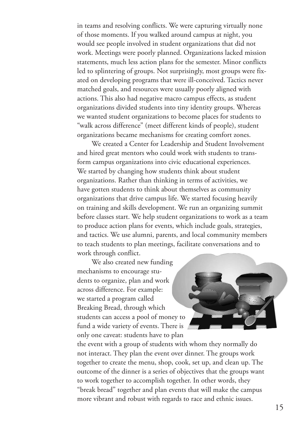in teams and resolving conflicts. We were capturing virtually none of those moments. If you walked around campus at night, you would see people involved in student organizations that did not work. Meetings were poorly planned. Organizations lacked mission statements, much less action plans for the semester. Minor conflicts led to splintering of groups. Not surprisingly, most groups were fixated on developing programs that were ill-conceived. Tactics never matched goals, and resources were usually poorly aligned with actions. This also had negative macro campus effects, as student organizations divided students into tiny identity groups. Whereas we wanted student organizations to become places for students to "walk across difference" (meet different kinds of people), student organizations became mechanisms for creating comfort zones.

We created a Center for Leadership and Student Involvement and hired great mentors who could work with students to transform campus organizations into civic educational experiences. We started by changing how students think about student organizations. Rather than thinking in terms of activities, we have gotten students to think about themselves as community organizations that drive campus life. We started focusing heavily on training and skills development. We run an organizing summit before classes start. We help student organizations to work as a team to produce action plans for events, which include goals, strategies, and tactics. We use alumni, parents, and local community members to teach students to plan meetings, facilitate conversations and to work through conflict.

We also created new funding mechanisms to encourage students to organize, plan and work across difference. For example: we started a program called Breaking Bread, through which students can access a pool of money to fund a wide variety of events. There is only one caveat: students have to plan



the event with a group of students with whom they normally do not interact. They plan the event over dinner. The groups work together to create the menu, shop, cook, set up, and clean up. The outcome of the dinner is a series of objectives that the groups want to work together to accomplish together. In other words, they "break bread" together and plan events that will make the campus more vibrant and robust with regards to race and ethnic issues.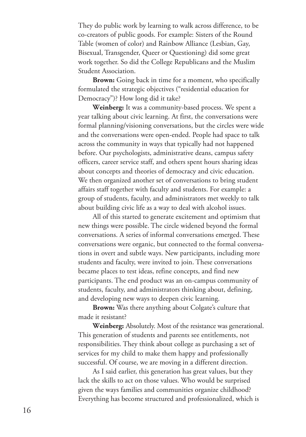They do public work by learning to walk across difference, to be co-creators of public goods. For example: Sisters of the Round Table (women of color) and Rainbow Alliance (Lesbian, Gay, Bisexual, Transgender, Queer or Questioning) did some great work together. So did the College Republicans and the Muslim Student Association.

**Brown:** Going back in time for a moment, who specifically formulated the strategic objectives ("residential education for Democracy")? How long did it take?

**Weinberg:** It was a community-based process. We spent a year talking about civic learning. At first, the conversations were formal planning/visioning conversations, but the circles were wide and the conversations were open-ended. People had space to talk across the community in ways that typically had not happened before. Our psychologists, administrative deans, campus safety officers, career service staff, and others spent hours sharing ideas about concepts and theories of democracy and civic education. We then organized another set of conversations to bring student affairs staff together with faculty and students. For example: a group of students, faculty, and administrators met weekly to talk about building civic life as a way to deal with alcohol issues.

All of this started to generate excitement and optimism that new things were possible. The circle widened beyond the formal conversations. A series of informal conversations emerged. These conversations were organic, but connected to the formal conversations in overt and subtle ways. New participants, including more students and faculty, were invited to join. These conversations became places to test ideas, refine concepts, and find new participants. The end product was an on-campus community of students, faculty, and administrators thinking about, defining, and developing new ways to deepen civic learning.

**Brown:** Was there anything about Colgate's culture that made it resistant?

**Weinberg:** Absolutely. Most of the resistance was generational. This generation of students and parents see entitlements, not responsibilities. They think about college as purchasing a set of services for my child to make them happy and professionally successful. Of course, we are moving in a different direction.

As I said earlier, this generation has great values, but they lack the skills to act on those values. Who would be surprised given the ways families and communities organize childhood? Everything has become structured and professionalized, which is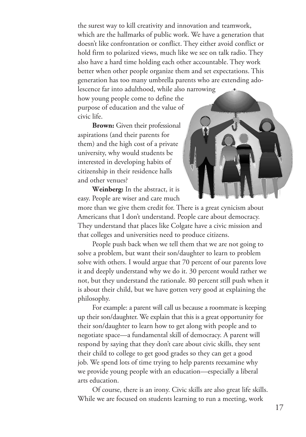the surest way to kill creativity and innovation and teamwork, which are the hallmarks of public work. We have a generation that doesn't like confrontation or conflict. They either avoid conflict or hold firm to polarized views, much like we see on talk radio. They also have a hard time holding each other accountable. They work better when other people organize them and set expectations. This generation has too many umbrella parents who are extending adolescence far into adulthood, while also narrowing how young people come to define the purpose of education and the value of civic life.

**Brown:** Given their professional aspirations (and their parents for them) and the high cost of a private university, why would students be interested in developing habits of citizenship in their residence halls and other venues?

**Weinberg:** In the abstract, it is easy. People are wiser and care much

more than we give them credit for. There is a great cynicism about Americans that I don't understand. People care about democracy. They understand that places like Colgate have a civic mission and that colleges and universities need to produce citizens.

People push back when we tell them that we are not going to solve a problem, but want their son/daughter to learn to problem solve with others. I would argue that 70 percent of our parents love it and deeply understand why we do it. 30 percent would rather we not, but they understand the rationale. 80 percent still push when it is about their child, but we have gotten very good at explaining the philosophy.

For example: a parent will call us because a roommate is keeping up their son/daughter. We explain that this is a great opportunity for their son/daughter to learn how to get along with people and to negotiate space—a fundamental skill of democracy. A parent will respond by saying that they don't care about civic skills, they sent their child to college to get good grades so they can get a good job. We spend lots of time trying to help parents reexamine why we provide young people with an education—especially a liberal arts education.

Of course, there is an irony. Civic skills are also great life skills. While we are focused on students learning to run a meeting, work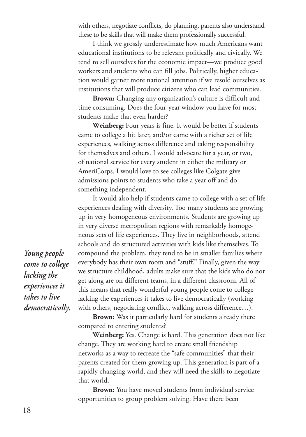with others, negotiate conflicts, do planning, parents also understand these to be skills that will make them professionally successful.

I think we grossly underestimate how much Americans want educational institutions to be relevant politically and civically. We tend to sell ourselves for the economic impact—we produce good workers and students who can fill jobs. Politically, higher education would garner more national attention if we resold ourselves as institutions that will produce citizens who can lead communities.

**Brown:** Changing any organization's culture is difficult and time consuming. Does the four-year window you have for most students make that even harder?

**Weinberg:** Four years is fine. It would be better if students came to college a bit later, and/or came with a richer set of life experiences, walking across difference and taking responsibility for themselves and others. I would advocate for a year, or two, of national service for every student in either the military or AmeriCorps. I would love to see colleges like Colgate give admissions points to students who take a year off and do something independent.

It would also help if students came to college with a set of life experiences dealing with diversity. Too many students are growing up in very homogeneous environments. Students are growing up in very diverse metropolitan regions with remarkably homogeneous sets of life experiences. They live in neighborhoods, attend schools and do structured activities with kids like themselves. To compound the problem, they tend to be in smaller families where everybody has their own room and "stuff." Finally, given the way we structure childhood, adults make sure that the kids who do not get along are on different teams, in a different classroom. All of this means that really wonderful young people come to college lacking the experiences it takes to live democratically (working with others, negotiating conflict, walking across difference…).

**Brown:** Was it particularly hard for students already there compared to entering students?

**Weinberg:** Yes. Change is hard. This generation does not like change. They are working hard to create small friendship networks as a way to recreate the "safe communities" that their parents created for them growing up. This generation is part of a rapidly changing world, and they will need the skills to negotiate that world.

**Brown:** You have moved students from individual service opportunities to group problem solving. Have there been

*Young people come to college lacking the experiences it takes to live democratically.*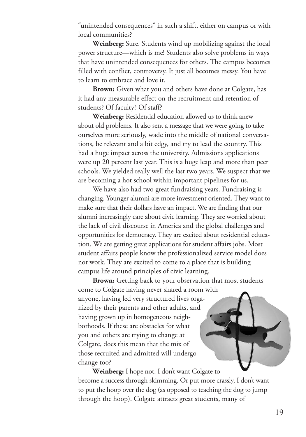"unintended consequences" in such a shift, either on campus or with local communities?

**Weinberg:** Sure. Students wind up mobilizing against the local power structure—which is me! Students also solve problems in ways that have unintended consequences for others. The campus becomes filled with conflict, controversy. It just all becomes messy. You have to learn to embrace and love it.

**Brown:** Given what you and others have done at Colgate, has it had any measurable effect on the recruitment and retention of students? Of faculty? Of staff?

**Weinberg:** Residential education allowed us to think anew about old problems. It also sent a message that we were going to take ourselves more seriously, wade into the middle of national conversations, be relevant and a bit edgy, and try to lead the country. This had a huge impact across the university. Admissions applications were up 20 percent last year. This is a huge leap and more than peer schools. We yielded really well the last two years. We suspect that we are becoming a hot school within important pipelines for us.

We have also had two great fundraising years. Fundraising is changing. Younger alumni are more investment oriented. They want to make sure that their dollars have an impact. We are finding that our alumni increasingly care about civic learning. They are worried about the lack of civil discourse in America and the global challenges and opportunities for democracy. They are excited about residential education. We are getting great applications for student affairs jobs. Most student affairs people know the professionalized service model does not work. They are excited to come to a place that is building campus life around principles of civic learning.

**Brown:** Getting back to your observation that most students come to Colgate having never shared a room with anyone, having led very structured lives organized by their parents and other adults, and having grown up in homogeneous neighborhoods. If these are obstacles for what you and others are trying to change at Colgate, does this mean that the mix of those recruited and admitted will undergo change too?

**Weinberg:** I hope not. I don't want Colgate to become a success through skimming. Or put more crassly, I don't want to put the hoop over the dog (as opposed to teaching the dog to jump through the hoop). Colgate attracts great students, many of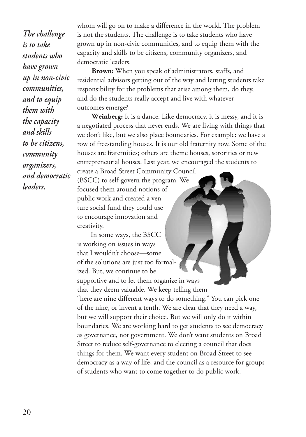*The challenge is to take students who have grown up in non-civic communities, and to equip them with the capacity and skills to be citizens, community organizers, and democratic leaders.* 

whom will go on to make a difference in the world. The problem is not the students. The challenge is to take students who have grown up in non-civic communities, and to equip them with the capacity and skills to be citizens, community organizers, and democratic leaders.

**Brown:** When you speak of administrators, staffs, and residential advisors getting out of the way and letting students take responsibility for the problems that arise among them, do they, and do the students really accept and live with whatever outcomes emerge?

**Weinberg:** It is a dance. Like democracy, it is messy, and it is a negotiated process that never ends. We are living with things that we don't like, but we also place boundaries. For example: we have a row of freestanding houses. It is our old fraternity row. Some of the houses are fraternities; others are theme houses, sororities or new entrepreneurial houses. Last year, we encouraged the students to create a Broad Street Community Council

(BSCC) to self-govern the program. We focused them around notions of public work and created a venture social fund they could use to encourage innovation and creativity.

In some ways, the BSCC is working on issues in ways that I wouldn't choose—some of the solutions are just too formalized. But, we continue to be

supportive and to let them organize in ways that they deem valuable. We keep telling them

"here are nine different ways to do something." You can pick one of the nine, or invent a tenth. We are clear that they need a way, but we will support their choice. But we will only do it within boundaries. We are working hard to get students to see democracy as governance, not government. We don't want students on Broad Street to reduce self-governance to electing a council that does things for them. We want every student on Broad Street to see democracy as a way of life, and the council as a resource for groups of students who want to come together to do public work.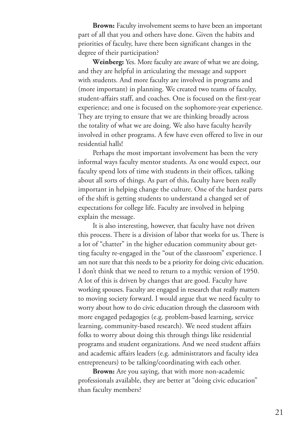**Brown:** Faculty involvement seems to have been an important part of all that you and others have done. Given the habits and priorities of faculty, have there been significant changes in the degree of their participation?

**Weinberg:** Yes. More faculty are aware of what we are doing, and they are helpful in articulating the message and support with students. And more faculty are involved in programs and (more important) in planning. We created two teams of faculty, student-affairs staff, and coaches. One is focused on the first-year experience; and one is focused on the sophomore-year experience. They are trying to ensure that we are thinking broadly across the totality of what we are doing. We also have faculty heavily involved in other programs. A few have even offered to live in our residential halls!

Perhaps the most important involvement has been the very informal ways faculty mentor students. As one would expect, our faculty spend lots of time with students in their offices, talking about all sorts of things. As part of this, faculty have been really important in helping change the culture. One of the hardest parts of the shift is getting students to understand a changed set of expectations for college life. Faculty are involved in helping explain the message.

It is also interesting, however, that faculty have not driven this process. There is a division of labor that works for us. There is a lot of "chatter" in the higher education community about getting faculty re-engaged in the "out of the classroom" experience. I am not sure that this needs to be a priority for doing civic education. I don't think that we need to return to a mythic version of 1950. A lot of this is driven by changes that are good. Faculty have working spouses. Faculty are engaged in research that really matters to moving society forward. I would argue that we need faculty to worry about how to do civic education through the classroom with more engaged pedagogies (e.g. problem-based learning, service learning, community-based research). We need student affairs folks to worry about doing this through things like residential programs and student organizations. And we need student affairs and academic affairs leaders (e.g. administrators and faculty idea entrepreneurs) to be talking/coordinating with each other.

**Brown:** Are you saying, that with more non-academic professionals available, they are better at "doing civic education" than faculty members?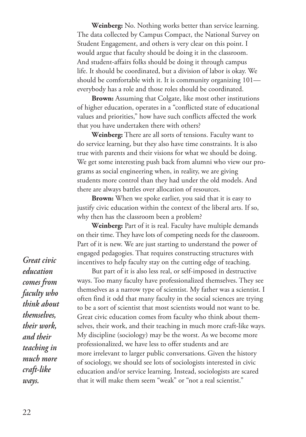**Weinberg:** No. Nothing works better than service learning. The data collected by Campus Compact, the National Survey on Student Engagement, and others is very clear on this point. I would argue that faculty should be doing it in the classroom. And student-affairs folks should be doing it through campus life. It should be coordinated, but a division of labor is okay. We should be comfortable with it. It is community organizing 101 everybody has a role and those roles should be coordinated.

**Brown:** Assuming that Colgate, like most other institutions of higher education, operates in a "conflicted state of educational values and priorities," how have such conflicts affected the work that you have undertaken there with others?

**Weinberg:** There are all sorts of tensions. Faculty want to do service learning, but they also have time constraints. It is also true with parents and their visions for what we should be doing. We get some interesting push back from alumni who view our programs as social engineering when, in reality, we are giving students more control than they had under the old models. And there are always battles over allocation of resources.

**Brown:** When we spoke earlier, you said that it is easy to justify civic education within the context of the liberal arts. If so, why then has the classroom been a problem?

**Weinberg:** Part of it is real. Faculty have multiple demands on their time. They have lots of competing needs for the classroom. Part of it is new. We are just starting to understand the power of engaged pedagogies. That requires constructing structures with incentives to help faculty stay on the cutting edge of teaching.

But part of it is also less real, or self-imposed in destructive ways. Too many faculty have professionalized themselves. They see themselves as a narrow type of scientist. My father was a scientist. I often find it odd that many faculty in the social sciences are trying to be a sort of scientist that most scientists would not want to be. Great civic education comes from faculty who think about themselves, their work, and their teaching in much more craft-like ways. My discipline (sociology) may be the worst. As we become more professionalized, we have less to offer students and are more irrelevant to larger public conversations. Given the history of sociology, we should see lots of sociologists interested in civic education and/or service learning. Instead, sociologists are scared that it will make them seem "weak" or "not a real scientist."

*Great civic education comes from faculty who think about themselves, their work, and their teaching in much more craft-like ways.*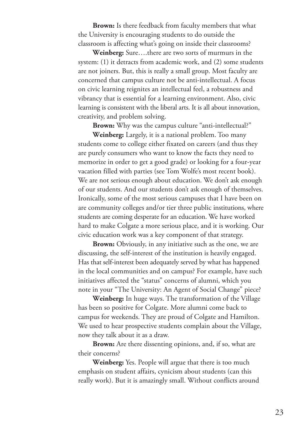**Brown:** Is there feedback from faculty members that what the University is encouraging students to do outside the classroom is affecting what's going on inside their classrooms?

**Weinberg:** Sure….there are two sorts of murmurs in the system: (1) it detracts from academic work, and (2) some students are not joiners. But, this is really a small group. Most faculty are concerned that campus culture not be anti-intellectual. A focus on civic learning reignites an intellectual feel, a robustness and vibrancy that is essential for a learning environment. Also, civic learning is consistent with the liberal arts. It is all about innovation, creativity, and problem solving.

**Brown:** Why was the campus culture "anti-intellectual?" **Weinberg:** Largely, it is a national problem. Too many students come to college either fixated on careers (and thus they are purely consumers who want to know the facts they need to memorize in order to get a good grade) or looking for a four-year vacation filled with parties (see Tom Wolfe's most recent book). We are not serious enough about education. We don't ask enough of our students. And our students don't ask enough of themselves. Ironically, some of the most serious campuses that I have been on are community colleges and/or tier three public institutions, where students are coming desperate for an education. We have worked hard to make Colgate a more serious place, and it is working. Our civic education work was a key component of that strategy.

**Brown:** Obviously, in any initiative such as the one, we are discussing, the self-interest of the institution is heavily engaged. Has that self-interest been adequately served by what has happened in the local communities and on campus? For example, have such initiatives affected the "status" concerns of alumni, which you note in your "The University: An Agent of Social Change" piece?

**Weinberg:** In huge ways. The transformation of the Village has been so positive for Colgate. More alumni come back to campus for weekends. They are proud of Colgate and Hamilton. We used to hear prospective students complain about the Village, now they talk about it as a draw.

**Brown:** Are there dissenting opinions, and, if so, what are their concerns?

**Weinberg:** Yes. People will argue that there is too much emphasis on student affairs, cynicism about students (can this really work). But it is amazingly small. Without conflicts around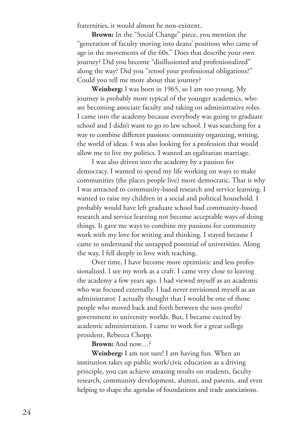fraternities, it would almost be non-existent.

**Brown:** In the "Social Change" piece, you mention the "generation of faculty moving into deans' positions who came of age in the movements of the 60s." Does that describe your own journey? Did you become "disillusioned and professionalized" along the way? Did you "retool your professional obligations?" Could you tell me more about that journey?

**Weinberg:** I was born in 1965, so I am too young. My journey is probably more typical of the younger academics, who are becoming associate faculty and taking on administrative roles. I came into the academy because everybody was going to graduate school and I didn't want to go to law school. I was searching for a way to combine different passions: community organizing, writing, the world of ideas. I was also looking for a profession that would allow me to live my politics. I wanted an egalitarian marriage.

I was also driven into the academy by a passion for democracy. I wanted to spend my life working on ways to make communities (the places people live) more democratic. That is why I was attracted to community-based research and service learning. I wanted to raise my children in a social and political household. I probably would have left graduate school had community-based research and service learning not become acceptable ways of doing things. It gave me ways to combine my passions for community work with my love for writing and thinking. I stayed because I came to understand the untapped potential of universities. Along the way, I fell deeply in love with teaching.

Over time, I have become more optimistic and less professionalized. I see my work as a craft. I came very close to leaving the academy a few years ago. I had viewed myself as an academic who was focused externally. I had never envisioned myself as an administrator. I actually thought that I would be one of those people who moved back and forth between the non-profit/ government to university worlds. But, I became excited by academic administration. I came to work for a great college president, Rebecca Chopp.

**Brown:** And now…?

**Weinberg:** I am not sure! I am having fun. When an institution takes up public work/civic education as a driving principle, you can achieve amazing results on students, faculty research, community development, alumni, and parents, and even helping to shape the agendas of foundations and trade associations.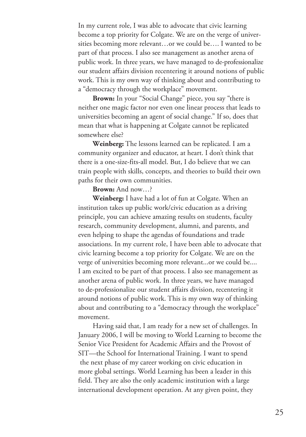In my current role, I was able to advocate that civic learning become a top priority for Colgate. We are on the verge of universities becoming more relevant…or we could be…. I wanted to be part of that process. I also see management as another arena of public work. In three years, we have managed to de-professionalize our student affairs division recentering it around notions of public work. This is my own way of thinking about and contributing to a "democracy through the workplace" movement.

**Brown:** In your "Social Change" piece, you say "there is neither one magic factor nor even one linear process that leads to universities becoming an agent of social change." If so, does that mean that what is happening at Colgate cannot be replicated somewhere else?

**Weinberg:** The lessons learned can be replicated. I am a community organizer and educator, at heart. I don't think that there is a one-size-fits-all model. But, I do believe that we can train people with skills, concepts, and theories to build their own paths for their own communities.

**Brown:** And now…?

**Weinberg:** I have had a lot of fun at Colgate. When an institution takes up public work/civic education as a driving principle, you can achieve amazing results on students, faculty research, community development, alumni, and parents, and even helping to shape the agendas of foundations and trade associations. In my current role, I have been able to advocate that civic learning become a top priority for Colgate. We are on the verge of universities becoming more relevant...or we could be.... I am excited to be part of that process. I also see management as another arena of public work. In three years, we have managed to de-professionalize our student affairs division, recentering it around notions of public work. This is my own way of thinking about and contributing to a "democracy through the workplace" movement.

Having said that, I am ready for a new set of challenges. In January 2006, I will be moving to World Learning to become the Senior Vice President for Academic Affairs and the Provost of SIT—the School for International Training. I want to spend the next phase of my career working on civic education in more global settings. World Learning has been a leader in this field. They are also the only academic institution with a large international development operation. At any given point, they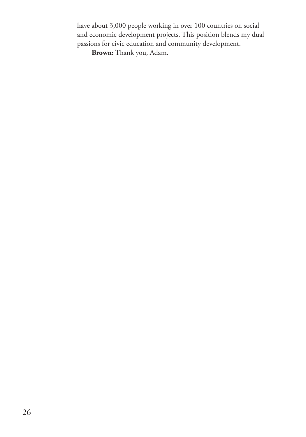have about 3,000 people working in over 100 countries on social and economic development projects. This position blends my dual passions for civic education and community development. **Brown:** Thank you, Adam.

26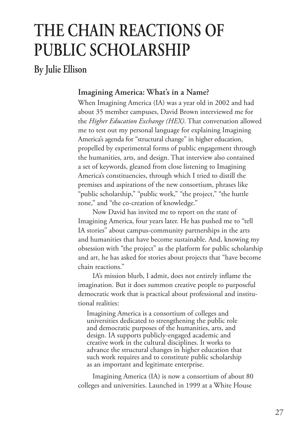### **THE CHAIN REACTIONS OF PUBLIC SCHOLARSHIP**

**By Julie Ellison**

#### **Imagining America: What's in a Name?**

When Imagining America (IA) was a year old in 2002 and had about 35 member campuses, David Brown interviewed me for the *Higher Education Exchange (HEX)*. That conversation allowed me to test out my personal language for explaining Imagining America's agenda for "structural change" in higher education, propelled by experimental forms of public engagement through the humanities, arts, and design. That interview also contained a set of keywords, gleaned from close listening to Imagining America's constituencies, through which I tried to distill the premises and aspirations of the new consortium, phrases like "public scholarship," "public work," "the project," "the huttle zone," and "the co-creation of knowledge."

Now David has invited me to report on the state of Imagining America, four years later. He has pushed me to "tell IA stories" about campus-community partnerships in the arts and humanities that have become sustainable. And, knowing my obsession with "the project" as the platform for public scholarship and art, he has asked for stories about projects that "have become chain reactions."

IA's mission blurb, I admit, does not entirely inflame the imagination. But it does summon creative people to purposeful democratic work that is practical about professional and institutional realities:

Imagining America is a consortium of colleges and universities dedicated to strengthening the public role and democratic purposes of the humanities, arts, and design. IA supports publicly-engaged academic and creative work in the cultural disciplines. It works to advance the structural changes in higher education that such work requires and to constitute public scholarship as an important and legitimate enterprise.

Imagining America (IA) is now a consortium of about 80 colleges and universities. Launched in 1999 at a White House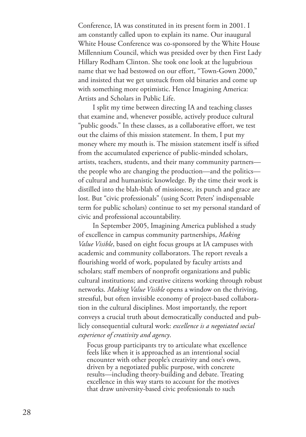Conference, IA was constituted in its present form in 2001. I am constantly called upon to explain its name. Our inaugural White House Conference was co-sponsored by the White House Millennium Council, which was presided over by then First Lady Hillary Rodham Clinton. She took one look at the lugubrious name that we had bestowed on our effort, "Town-Gown 2000," and insisted that we get unstuck from old binaries and come up with something more optimistic. Hence Imagining America: Artists and Scholars in Public Life.

I split my time between directing IA and teaching classes that examine and, whenever possible, actively produce cultural "public goods." In these classes, as a collaborative effort, we test out the claims of this mission statement. In them, I put my money where my mouth is. The mission statement itself is sifted from the accumulated experience of public-minded scholars, artists, teachers, students, and their many community partners the people who are changing the production—and the politics of cultural and humanistic knowledge. By the time their work is distilled into the blah-blah of missionese, its punch and grace are lost. But "civic professionals" (using Scott Peters' indispensable term for public scholars) continue to set my personal standard of civic and professional accountability.

In September 2005, Imagining America published a study of excellence in campus community partnerships, *Making Value Visible*, based on eight focus groups at IA campuses with academic and community collaborators. The report reveals a flourishing world of work, populated by faculty artists and scholars; staff members of nonprofit organizations and public cultural institutions; and creative citizens working through robust networks. *Making Value Visible* opens a window on the thriving, stressful, but often invisible economy of project-based collaboration in the cultural disciplines. Most importantly, the report conveys a crucial truth about democratically conducted and publicly consequential cultural work: *excellence is a negotiated social experience of creativity and agency*.

Focus group participants try to articulate what excellence feels like when it is approached as an intentional social encounter with other people's creativity and one's own, driven by a negotiated public purpose, with concrete results—including theory-building and debate. Treating excellence in this way starts to account for the motives that draw university-based civic professionals to such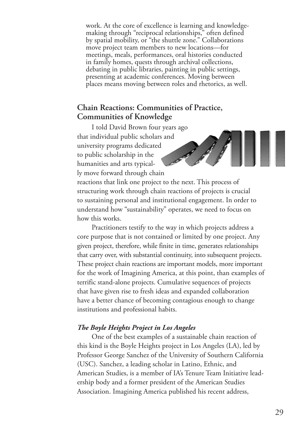work. At the core of excellence is learning and knowledgemaking through "reciprocal relationships," often defined by spatial mobility, or "the shuttle zone." Collaborations move project team members to new locations—for meetings, meals, performances, oral histories conducted in family homes, quests through archival collections, debating in public libraries, painting in public settings, presenting at academic conferences. Moving between places means moving between roles and rhetorics, as well.

#### **Chain Reactions: Communities of Practice, Communities of Knowledge**

I told David Brown four years ago that individual public scholars and university programs dedicated to public scholarship in the humanities and arts typically move forward through chain

reactions that link one project to the next. This process of structuring work through chain reactions of projects is crucial to sustaining personal and institutional engagement. In order to understand how "sustainability" operates, we need to focus on how this works.

Practitioners testify to the way in which projects address a core purpose that is not contained or limited by one project. Any given project, therefore, while finite in time, generates relationships that carry over, with substantial continuity, into subsequent projects. These project chain reactions are important models, more important for the work of Imagining America, at this point, than examples of terrific stand-alone projects. Cumulative sequences of projects that have given rise to fresh ideas and expanded collaboration have a better chance of becoming contagious enough to change institutions and professional habits.

#### *The Boyle Heights Project in Los Angeles*

One of the best examples of a sustainable chain reaction of this kind is the Boyle Heights project in Los Angeles (LA), led by Professor George Sanchez of the University of Southern California (USC). Sanchez, a leading scholar in Latino, Ethnic, and American Studies, is a member of IA's Tenure Team Initiative leadership body and a former president of the American Studies Association. Imagining America published his recent address,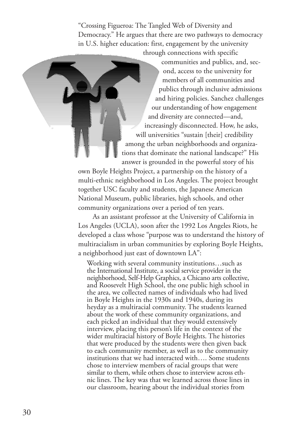"Crossing Figueroa: The Tangled Web of Diversity and Democracy." He argues that there are two pathways to democracy in U.S. higher education: first, engagement by the university through connections with specific

> communities and publics, and, second, access to the university for members of all communities and publics through inclusive admissions and hiring policies. Sanchez challenges our understanding of how engagement and diversity are connected—and, increasingly disconnected. How, he asks, will universities "sustain [their] credibility among the urban neighborhoods and organizations that dominate the national landscape?" His answer is grounded in the powerful story of his

own Boyle Heights Project, a partnership on the history of a multi-ethnic neighborhood in Los Angeles. The project brought together USC faculty and students, the Japanese American National Museum, public libraries, high schools, and other community organizations over a period of ten years.

As an assistant professor at the University of California in Los Angeles (UCLA), soon after the 1992 Los Angeles Riots, he developed a class whose "purpose was to understand the history of multiracialism in urban communities by exploring Boyle Heights, a neighborhood just east of downtown LA":

Working with several community institutions…such as the International Institute, a social service provider in the neighborhood, Self-Help Graphics, a Chicano arts collective, and Roosevelt High School, the one public high school in the area, we collected names of individuals who had lived in Boyle Heights in the 1930s and 1940s, during its heyday as a multiracial community. The students learned about the work of these community organizations, and each picked an individual that they would extensively interview, placing this person's life in the context of the wider multiracial history of Boyle Heights. The histories that were produced by the students were then given back to each community member, as well as to the community institutions that we had interacted with…. Some students chose to interview members of racial groups that were similar to them, while others chose to interview across ethnic lines. The key was that we learned across those lines in our classroom, hearing about the individual stories from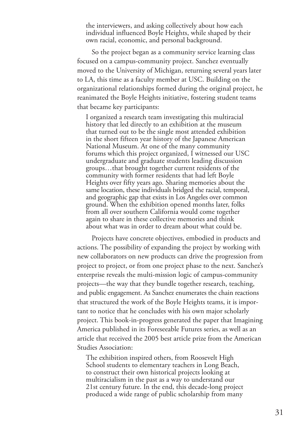the interviewers, and asking collectively about how each individual influenced Boyle Heights, while shaped by their own racial, economic, and personal background.

So the project began as a community service learning class focused on a campus-community project. Sanchez eventually moved to the University of Michigan, returning several years later to LA, this time as a faculty member at USC. Building on the organizational relationships formed during the original project, he reanimated the Boyle Heights initiative, fostering student teams that became key participants:

I organized a research team investigating this multiracial history that led directly to an exhibition at the museum that turned out to be the single most attended exhibition in the short fifteen year history of the Japanese American National Museum. At one of the many community forums which this project organized, I witnessed our USC undergraduate and graduate students leading discussion groups…that brought together current residents of the community with former residents that had left Boyle Heights over fifty years ago. Sharing memories about the same location, these individuals bridged the racial, temporal, and geographic gap that exists in Los Angeles over common ground. When the exhibition opened months later, folks from all over southern California would come together again to share in these collective memories and think about what was in order to dream about what could be.

Projects have concrete objectives, embodied in products and actions. The possibility of expanding the project by working with new collaborators on new products can drive the progression from project to project, or from one project phase to the next. Sanchez's enterprise reveals the multi-mission logic of campus-community projects—the way that they bundle together research, teaching, and public engagement. As Sanchez enumerates the chain reactions that structured the work of the Boyle Heights teams, it is important to notice that he concludes with his own major scholarly project. This book-in-progress generated the paper that Imagining America published in its Foreseeable Futures series, as well as an article that received the 2005 best article prize from the American Studies Association:

The exhibition inspired others, from Roosevelt High School students to elementary teachers in Long Beach, to construct their own historical projects looking at multiracialism in the past as a way to understand our 21st century future. In the end, this decade-long project produced a wide range of public scholarship from many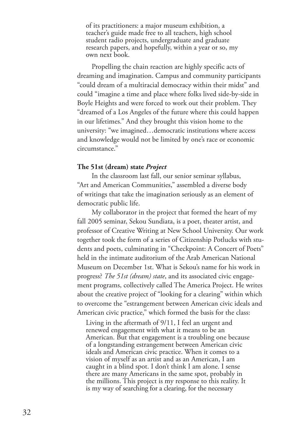of its practitioners: a major museum exhibition, a teacher's guide made free to all teachers, high school student radio projects, undergraduate and graduate research papers, and hopefully, within a year or so, my own next book.

Propelling the chain reaction are highly specific acts of dreaming and imagination. Campus and community participants "could dream of a multiracial democracy within their midst" and could "imagine a time and place where folks lived side-by-side in Boyle Heights and were forced to work out their problem. They "dreamed of a Los Angeles of the future where this could happen in our lifetimes." And they brought this vision home to the university: "we imagined…democratic institutions where access and knowledge would not be limited by one's race or economic circumstance."

#### **The 51st (dream) state** *Project*

In the classroom last fall, our senior seminar syllabus, "Art and American Communities," assembled a diverse body of writings that take the imagination seriously as an element of democratic public life.

My collaborator in the project that formed the heart of my fall 2005 seminar, Sekou Sundiata, is a poet, theater artist, and professor of Creative Writing at New School University. Our work together took the form of a series of Citizenship Potlucks with students and poets, culminating in "Checkpoint: A Concert of Poets" held in the intimate auditorium of the Arab American National Museum on December 1st. What is Sekou's name for his work in progress? *The 51st (dream) state*, and its associated civic engagement programs, collectively called The America Project. He writes about the creative project of "looking for a clearing" within which to overcome the "estrangement between American civic ideals and American civic practice," which formed the basis for the class:

Living in the aftermath of 9/11, I feel an urgent and renewed engagement with what it means to be an American. But that engagement is a troubling one because of a longstanding estrangement between American civic ideals and American civic practice. When it comes to a vision of myself as an artist and as an American, I am caught in a blind spot. I don't think I am alone. I sense there are many Americans in the same spot, probably in the millions. This project is my response to this reality. It is my way of searching for a clearing, for the necessary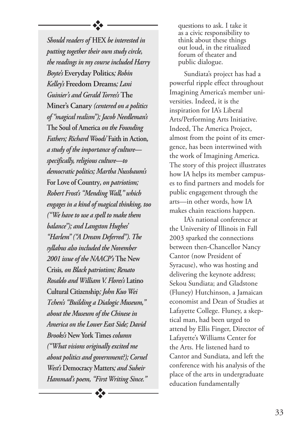*Should readers of* **HEX** *be interested in putting together their own study circle, the readings in my course included Harry Boyte's* **Everyday Politics***; Robin Kelley's* **Freedom Dreams***; Lani Guinier's and Gerald Torres's* **The Miner's Canary** *(centered on a politics of "magical realism"); Jacob Needleman's* **The Soul of America** *on the Founding Fathers; Richard Woods'* **Faith in Action***, a study of the importance of culture specifically, religious culture—to democratic politics; Martha Nussbaum's* **For Love of Country***, on patriotism; Robert Frost's "Mending Wall," which engages in a kind of magical thinking, too ("We have to use a spell to make them balance"); and Langston Hughes' "Harlem" ("A Dream Deferred"). The syllabus also included the November 2001 issue of the NAACP's* **The New Crisis***, on Black patriotism; Renato Rosaldo and William V. Flores's* **Latino Cultural Citizenship***; John Kuo Wei Tchen's "Building a Dialogic Museum," about the Museum of the Chinese in America on the Lower East Side; David Brooks's* **New York Times** *column ("What visions originally excited me about politics and government?); Cornel West's* **Democracy Matters***; and Suheir Hammad's poem, "First Writing Since."* 

questions to ask. I take it as a civic responsibility to think about these things out loud, in the ritualized forum of theater and public dialogue.

Sundiata's project has had a powerful ripple effect throughout Imagining America's member universities. Indeed, it is the inspiration for IA's Liberal Arts/Performing Arts Initiative. Indeed, The America Project, almost from the point of its emergence, has been intertwined with the work of Imagining America. The story of this project illustrates how IA helps its member campuses to find partners and models for public engagement through the arts—in other words, how IA makes chain reactions happen.

IA's national conference at the University of Illinois in Fall 2003 sparked the connections between then-Chancellor Nancy Cantor (now President of Syracuse), who was hosting and delivering the keynote address; Sekou Sundiata; and Gladstone (Fluney) Hutchinson, a Jamaican economist and Dean of Studies at Lafayette College. Fluney, a skeptical man, had been urged to attend by Ellis Finger, Director of Lafayette's Williams Center for the Arts. He listened hard to Cantor and Sundiata, and left the conference with his analysis of the place of the arts in undergraduate education fundamentally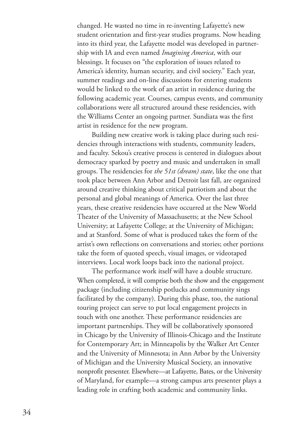changed. He wasted no time in re-inventing Lafayette's new student orientation and first-year studies programs. Now heading into its third year, the Lafayette model was developed in partnership with IA and even named *Imagining America*, with our blessings. It focuses on "the exploration of issues related to America's identity, human security, and civil society." Each year, summer readings and on-line discussions for entering students would be linked to the work of an artist in residence during the following academic year. Courses, campus events, and community collaborations were all structured around these residencies, with the Williams Center an ongoing partner. Sundiata was the first artist in residence for the new program.

Building new creative work is taking place during such residencies through interactions with students, community leaders, and faculty. Sekou's creative process is centered in dialogues about democracy sparked by poetry and music and undertaken in small groups. The residencies for *the 51st (dream) state*, like the one that took place between Ann Arbor and Detroit last fall, are organized around creative thinking about critical patriotism and about the personal and global meanings of America. Over the last three years, these creative residencies have occurred at the New World Theater of the University of Massachusetts; at the New School University; at Lafayette College; at the University of Michigan; and at Stanford. Some of what is produced takes the form of the artist's own reflections on conversations and stories; other portions take the form of quoted speech, visual images, or videotaped interviews. Local work loops back into the national project.

The performance work itself will have a double structure. When completed, it will comprise both the show and the engagement package (including citizenship potlucks and community sings facilitated by the company). During this phase, too, the national touring project can serve to put local engagement projects in touch with one another. These performance residencies are important partnerships. They will be collaboratively sponsored in Chicago by the University of Illinois-Chicago and the Institute for Contemporary Art; in Minneapolis by the Walker Art Center and the University of Minnesota; in Ann Arbor by the University of Michigan and the University Musical Society, an innovative nonprofit presenter. Elsewhere—at Lafayette, Bates, or the University of Maryland, for example—a strong campus arts presenter plays a leading role in crafting both academic and community links.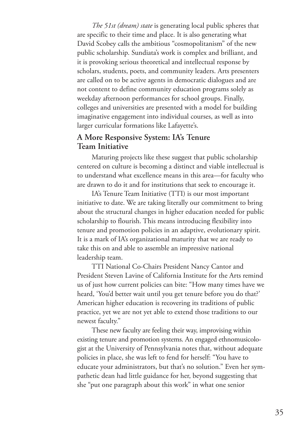*The 51st (dream) state* is generating local public spheres that are specific to their time and place. It is also generating what David Scobey calls the ambitious "cosmopolitanism" of the new public scholarship. Sundiata's work is complex and brilliant, and it is provoking serious theoretical and intellectual response by scholars, students, poets, and community leaders. Arts presenters are called on to be active agents in democratic dialogues and are not content to define community education programs solely as weekday afternoon performances for school groups. Finally, colleges and universities are presented with a model for building imaginative engagement into individual courses, as well as into larger curricular formations like Lafayette's.

# **A More Responsive System: IA's Tenure Team Initiative**

Maturing projects like these suggest that public scholarship centered on culture is becoming a distinct and viable intellectual is to understand what excellence means in this area—for faculty who are drawn to do it and for institutions that seek to encourage it.

IA's Tenure Team Initiative (TTI) is our most important initiative to date. We are taking literally our commitment to bring about the structural changes in higher education needed for public scholarship to flourish. This means introducing flexibility into tenure and promotion policies in an adaptive, evolutionary spirit. It is a mark of IA's organizational maturity that we are ready to take this on and able to assemble an impressive national leadership team.

TTI National Co-Chairs President Nancy Cantor and President Steven Lavine of California Institute for the Arts remind us of just how current policies can bite: "How many times have we heard, 'You'd better wait until you get tenure before you do that?' American higher education is recovering its traditions of public practice, yet we are not yet able to extend those traditions to our newest faculty."

These new faculty are feeling their way, improvising within existing tenure and promotion systems. An engaged ethnomusicologist at the University of Pennsylvania notes that, without adequate policies in place, she was left to fend for herself: "You have to educate your administrators, but that's no solution." Even her sympathetic dean had little guidance for her, beyond suggesting that she "put one paragraph about this work" in what one senior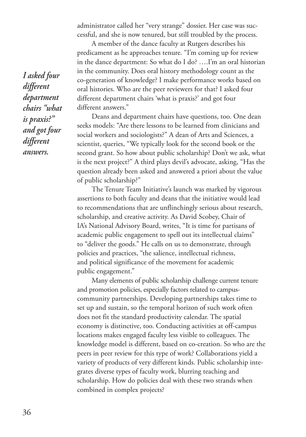administrator called her "very strange" dossier. Her case was successful, and she is now tenured, but still troubled by the process.

A member of the dance faculty at Rutgers describes his predicament as he approaches tenure. "I'm coming up for review in the dance department: So what do I do? ….I'm an oral historian in the community. Does oral history methodology count as the co-generation of knowledge? I make performance works based on oral histories. Who are the peer reviewers for that? I asked four different department chairs 'what is praxis?' and got four different answers."

Deans and department chairs have questions, too. One dean seeks models: "Are there lessons to be learned from clinicians and social workers and sociologists?" A dean of Arts and Sciences, a scientist, queries, "We typically look for the second book or the second grant. So how about public scholarship? Don't we ask, what is the next project?" A third plays devil's advocate, asking, "Has the question already been asked and answered a priori about the value of public scholarship?"

The Tenure Team Initiative's launch was marked by vigorous assertions to both faculty and deans that the initiative would lead to recommendations that are unflinchingly serious about research, scholarship, and creative activity. As David Scobey, Chair of IA's National Advisory Board, writes, "It is time for partisans of academic public engagement to spell out its intellectual claims" to "deliver the goods." He calls on us to demonstrate, through policies and practices, "the salience, intellectual richness, and political significance of the movement for academic public engagement."

Many elements of public scholarship challenge current tenure and promotion policies, especially factors related to campuscommunity partnerships. Developing partnerships takes time to set up and sustain, so the temporal horizon of such work often does not fit the standard productivity calendar. The spatial economy is distinctive, too. Conducting activities at off-campus locations makes engaged faculty less visible to colleagues. The knowledge model is different, based on co-creation. So who are the peers in peer review for this type of work? Collaborations yield a variety of products of very different kinds. Public scholarship integrates diverse types of faculty work, blurring teaching and scholarship. How do policies deal with these two strands when combined in complex projects?

*I asked four different department chairs "what is praxis?" and got four different answers.*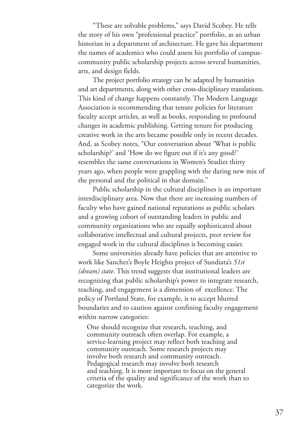"These are solvable problems," says David Scobey. He tells the story of his own "professional practice" portfolio, as an urban historian in a department of architecture. He gave his department the names of academics who could assess his portfolio of campuscommunity public scholarship projects across several humanities, arts, and design fields.

The project portfolio strategy can be adapted by humanities and art departments, along with other cross-disciplinary translations. This kind of change happens constantly. The Modern Language Association is recommending that tenure policies for literature faculty accept articles, as well as books, responding to profound changes in academic publishing. Getting tenure for producing creative work in the arts became possible only in recent decades. And, as Scobey notes, "Our conversation about 'What is public scholarship?' and 'How do we figure out if it's any good?' resembles the same conversations in Women's Studies thirty years ago, when people were grappling with the daring new mix of the personal and the political in that domain."

Public scholarship in the cultural disciplines is an important interdisciplinary area. Now that there are increasing numbers of faculty who have gained national reputations as public scholars and a growing cohort of outstanding leaders in public and community organizations who are equally sophisticated about collaborative intellectual and cultural projects, peer review for engaged work in the cultural disciplines is becoming easier.

Some universities already have policies that are attentive to work like Sanchez's Boyle Heights project of Sundiata's *51st (dream) state*. This trend suggests that institutional leaders are recognizing that public scholarship's power to integrate research, teaching, and engagement is a dimension of excellence. The policy of Portland State, for example, is to accept blurred boundaries and to caution against confining faculty engagement within narrow categories:

One should recognize that research, teaching, and community outreach often overlap. For example, a service-learning project may reflect both teaching and community outreach. Some research projects may involve both research and community outreach. Pedagogical research may involve both research and teaching. It is more important to focus on the general criteria of the quality and significance of the work than to categorize the work.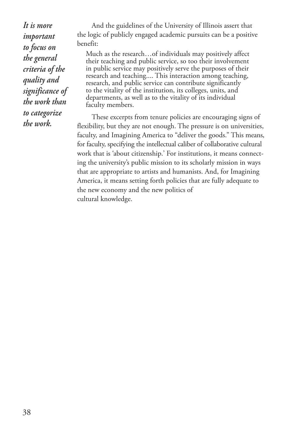*It is more important to focus on the general criteria of the quality and significance of the work than to categorize the work.*

And the guidelines of the University of Illinois assert that the logic of publicly engaged academic pursuits can be a positive benefit:

Much as the research…of individuals may positively affect their teaching and public service, so too their involvement in public service may positively serve the purposes of their research and teaching.... This interaction among teaching, research, and public service can contribute significantly to the vitality of the institution, its colleges, units, and departments, as well as to the vitality of its individual faculty members.

These excerpts from tenure policies are encouraging signs of flexibility, but they are not enough. The pressure is on universities, faculty, and Imagining America to "deliver the goods." This means, for faculty, specifying the intellectual caliber of collaborative cultural work that is 'about citizenship.' For institutions, it means connecting the university's public mission to its scholarly mission in ways that are appropriate to artists and humanists. And, for Imagining America, it means setting forth policies that are fully adequate to the new economy and the new politics of cultural knowledge.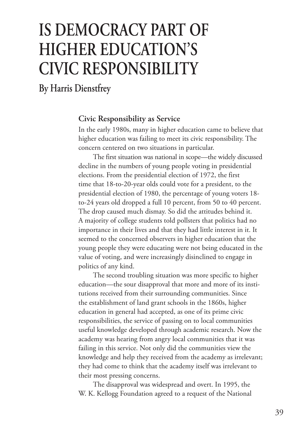# **IS DEMOCRACY PART OF HIGHER EDUCATION'S CIVIC RESPONSIBILITY**

**By Harris Dienstfrey**

# **Civic Responsibility as Service**

In the early 1980s, many in higher education came to believe that higher education was failing to meet its civic responsibility. The concern centered on two situations in particular.

The first situation was national in scope—the widely discussed decline in the numbers of young people voting in presidential elections. From the presidential election of 1972, the first time that 18-to-20-year olds could vote for a president, to the presidential election of 1980, the percentage of young voters 18 to-24 years old dropped a full 10 percent, from 50 to 40 percent. The drop caused much dismay. So did the attitudes behind it. A majority of college students told pollsters that politics had no importance in their lives and that they had little interest in it. It seemed to the concerned observers in higher education that the young people they were educating were not being educated in the value of voting, and were increasingly disinclined to engage in politics of any kind.

The second troubling situation was more specific to higher education—the sour disapproval that more and more of its institutions received from their surrounding communities. Since the establishment of land grant schools in the 1860s, higher education in general had accepted, as one of its prime civic responsibilities, the service of passing on to local communities useful knowledge developed through academic research. Now the academy was hearing from angry local communities that it was failing in this service. Not only did the communities view the knowledge and help they received from the academy as irrelevant; they had come to think that the academy itself was irrelevant to their most pressing concerns.

The disapproval was widespread and overt. In 1995, the W. K. Kellogg Foundation agreed to a request of the National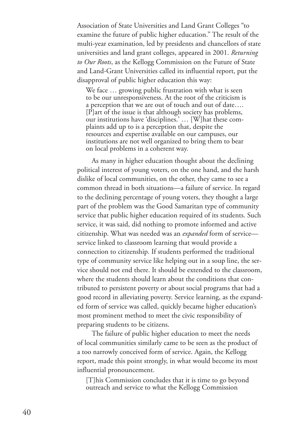Association of State Universities and Land Grant Colleges "to examine the future of public higher education." The result of the multi-year examination, led by presidents and chancellors of state universities and land grant colleges, appeared in 2001. *Returning to Our Roots*, as the Kellogg Commission on the Future of State and Land-Grant Universities called its influential report, put the disapproval of public higher education this way:

We face ... growing public frustration with what is seen to be our unresponsiveness. At the root of the criticism is a perception that we are out of touch and out of date….  $[\overline{P}]$ art of the issue is that although society has problems, our institutions have 'disciplines.' … [W]hat these complaints add up to is a perception that, despite the resources and expertise available on our campuses, our institutions are not well organized to bring them to bear on local problems in a coherent way.

As many in higher education thought about the declining political interest of young voters, on the one hand, and the harsh dislike of local communities, on the other, they came to see a common thread in both situations—a failure of service. In regard to the declining percentage of young voters, they thought a large part of the problem was the Good Samaritan type of community service that public higher education required of its students. Such service, it was said, did nothing to promote informed and active citizenship. What was needed was an *expanded* form of service service linked to classroom learning that would provide a connection to citizenship. If students performed the traditional type of community service like helping out in a soup line, the service should not end there. It should be extended to the classroom, where the students should learn about the conditions that contributed to persistent poverty or about social programs that had a good record in alleviating poverty. Service learning, as the expanded form of service was called, quickly became higher education's most prominent method to meet the civic responsibility of preparing students to be citizens.

The failure of public higher education to meet the needs of local communities similarly came to be seen as the product of a too narrowly conceived form of service. Again, the Kellogg report, made this point strongly, in what would become its most influential pronouncement.

[T]his Commission concludes that it is time to go beyond outreach and service to what the Kellogg Commission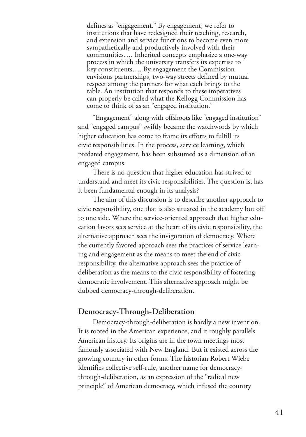defines as "engagement." By engagement, we refer to institutions that have redesigned their teaching, research, and extension and service functions to become even more sympathetically and productively involved with their communities…. Inherited concepts emphasize a one-way process in which the university transfers its expertise to key constituents…. By engagement the Commission envisions partnerships, two-way streets defined by mutual respect among the partners for what each brings to the table. An institution that responds to these imperatives can properly be called what the Kellogg Commission has come to think of as an "engaged institution."

"Engagement" along with offshoots like "engaged institution" and "engaged campus" swiftly became the watchwords by which higher education has come to frame its efforts to fulfill its civic responsibilities. In the process, service learning, which predated engagement, has been subsumed as a dimension of an engaged campus.

There is no question that higher education has strived to understand and meet its civic responsibilities. The question is, has it been fundamental enough in its analysis?

The aim of this discussion is to describe another approach to civic responsibility, one that is also situated in the academy but off to one side. Where the service-oriented approach that higher education favors sees service at the heart of its civic responsibility, the alternative approach sees the invigoration of democracy. Where the currently favored approach sees the practices of service learning and engagement as the means to meet the end of civic responsibility, the alternative approach sees the practice of deliberation as the means to the civic responsibility of fostering democratic involvement. This alternative approach might be dubbed democracy-through-deliberation.

#### **Democracy-Through-Deliberation**

Democracy-through-deliberation is hardly a new invention. It is rooted in the American experience, and it roughly parallels American history. Its origins are in the town meetings most famously associated with New England. But it existed across the growing country in other forms. The historian Robert Wiebe identifies collective self-rule, another name for democracythrough-deliberation, as an expression of the "radical new principle" of American democracy, which infused the country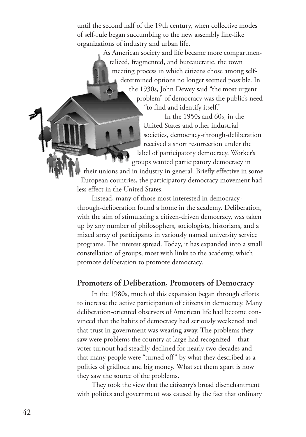until the second half of the 19th century, when collective modes of self-rule began succumbing to the new assembly line-like organizations of industry and urban life.

> As American society and life became more compartmentalized, fragmented, and bureaucratic, the town meeting process in which citizens chose among selfdetermined options no longer seemed possible. In the 1930s, John Dewey said "the most urgent problem" of democracy was the public's need "to find and identify itself."

> > In the 1950s and 60s, in the United States and other industrial societies, democracy-through-deliberation received a short resurrection under the label of participatory democracy. Worker's groups wanted participatory democracy in

their unions and in industry in general. Briefly effective in some European countries, the participatory democracy movement had less effect in the United States.

Instead, many of those most interested in democracythrough-deliberation found a home in the academy. Deliberation, with the aim of stimulating a citizen-driven democracy, was taken up by any number of philosophers, sociologists, historians, and a mixed array of participants in variously named university service programs. The interest spread. Today, it has expanded into a small constellation of groups, most with links to the academy, which promote deliberation to promote democracy.

### **Promoters of Deliberation, Promoters of Democracy**

In the 1980s, much of this expansion began through efforts to increase the active participation of citizens in democracy. Many deliberation-oriented observers of American life had become convinced that the habits of democracy had seriously weakened and that trust in government was wearing away. The problems they saw were problems the country at large had recognized—that voter turnout had steadily declined for nearly two decades and that many people were "turned off" by what they described as a politics of gridlock and big money. What set them apart is how they saw the source of the problems.

They took the view that the citizenry's broad disenchantment with politics and government was caused by the fact that ordinary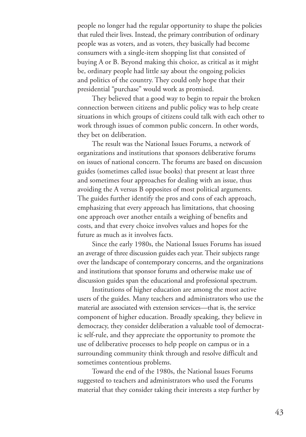people no longer had the regular opportunity to shape the policies that ruled their lives. Instead, the primary contribution of ordinary people was as voters, and as voters, they basically had become consumers with a single-item shopping list that consisted of buying A or B. Beyond making this choice, as critical as it might be, ordinary people had little say about the ongoing policies and politics of the country. They could only hope that their presidential "purchase" would work as promised.

They believed that a good way to begin to repair the broken connection between citizens and public policy was to help create situations in which groups of citizens could talk with each other to work through issues of common public concern. In other words, they bet on deliberation.

The result was the National Issues Forums, a network of organizations and institutions that sponsors deliberative forums on issues of national concern. The forums are based on discussion guides (sometimes called issue books) that present at least three and sometimes four approaches for dealing with an issue, thus avoiding the A versus B opposites of most political arguments. The guides further identify the pros and cons of each approach, emphasizing that every approach has limitations, that choosing one approach over another entails a weighing of benefits and costs, and that every choice involves values and hopes for the future as much as it involves facts.

Since the early 1980s, the National Issues Forums has issued an average of three discussion guides each year. Their subjects range over the landscape of contemporary concerns, and the organizations and institutions that sponsor forums and otherwise make use of discussion guides span the educational and professional spectrum.

Institutions of higher education are among the most active users of the guides. Many teachers and administrators who use the material are associated with extension services—that is, the service component of higher education. Broadly speaking, they believe in democracy, they consider deliberation a valuable tool of democratic self-rule, and they appreciate the opportunity to promote the use of deliberative processes to help people on campus or in a surrounding community think through and resolve difficult and sometimes contentious problems.

Toward the end of the 1980s, the National Issues Forums suggested to teachers and administrators who used the Forums material that they consider taking their interests a step further by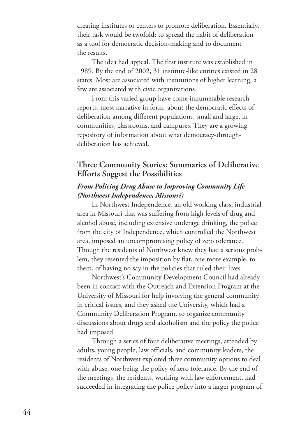creating institutes or centers to promote deliberation. Essentially, their task would be twofold: to spread the habit of deliberation as a tool for democratic decision-making and to document the results.

The idea had appeal. The first institute was established in 1989. By the end of 2002, 31 institute-like entities existed in 28 states. Most are associated with institutions of higher learning, a few are associated with civic organizations.

From this varied group have come innumerable research reports, most narrative in form, about the democratic effects of deliberation among different populations, small and large, in communities, classrooms, and campuses. They are a growing repository of information about what democracy-throughdeliberation has achieved.

# **Three Community Stories: Summaries of Deliberative Efforts Suggest the Possibilities**

#### *From Policing Drug Abuse to Improving Community Life (Northwest Independence, Missouri)*

In Northwest Independence, an old working class, industrial area in Missouri that was suffering from high levels of drug and alcohol abuse, including extensive underage drinking, the police from the city of Independence, which controlled the Northwest area, imposed an uncompromising policy of zero tolerance. Though the residents of Northwest knew they had a serious problem, they resented the imposition by fiat, one more example, to them, of having no say in the policies that ruled their lives.

Northwest's Community Development Council had already been in contact with the Outreach and Extension Program at the University of Missouri for help involving the general community in critical issues, and they asked the University, which had a Community Deliberation Program, to organize community discussions about drugs and alcoholism and the policy the police had imposed.

Through a series of four deliberative meetings, attended by adults, young people, law officials, and community leaders, the residents of Northwest explored three community options to deal with abuse, one being the policy of zero tolerance. By the end of the meetings, the residents, working with law enforcement, had succeeded in integrating the police policy into a larger program of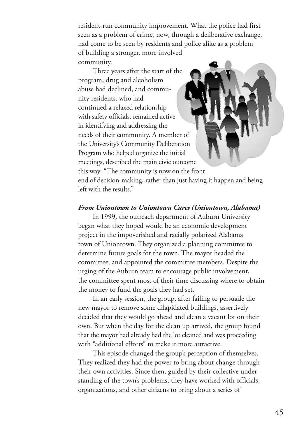resident-run community improvement. What the police had first seen as a problem of crime, now, through a deliberative exchange, had come to be seen by residents and police alike as a problem of building a stronger, more involved community.

Three years after the start of the program, drug and alcoholism abuse had declined, and community residents, who had continued a relaxed relationship with safety officials, remained active in identifying and addressing the needs of their community. A member of the University's Community Deliberation Program who helped organize the initial meetings, described the main civic outcome this way: "The community is now on the front end of decision-making, rather than just having it happen and being left with the results."

#### *From Uniontown to Uniontown Cares (Uniontown, Alabama)*

In 1999, the outreach department of Auburn University began what they hoped would be an economic development project in the impoverished and racially polarized Alabama town of Uniontown. They organized a planning committee to determine future goals for the town. The mayor headed the committee, and appointed the committee members. Despite the urging of the Auburn team to encourage public involvement, the committee spent most of their time discussing where to obtain the money to fund the goals they had set.

In an early session, the group, after failing to persuade the new mayor to remove some dilapidated buildings, assertively decided that they would go ahead and clean a vacant lot on their own. But when the day for the clean up arrived, the group found that the mayor had already had the lot cleaned and was proceeding with "additional efforts" to make it more attractive.

This episode changed the group's perception of themselves. They realized they had the power to bring about change through their own activities. Since then, guided by their collective understanding of the town's problems, they have worked with officials, organizations, and other citizens to bring about a series of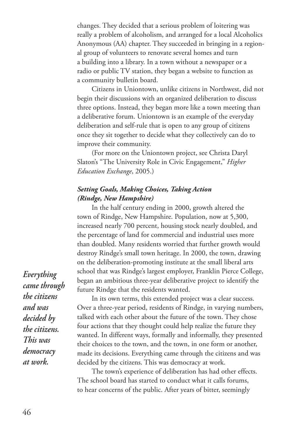changes. They decided that a serious problem of loitering was really a problem of alcoholism, and arranged for a local Alcoholics Anonymous (AA) chapter. They succeeded in bringing in a regional group of volunteers to renovate several homes and turn a building into a library. In a town without a newspaper or a radio or public TV station, they began a website to function as a community bulletin board.

Citizens in Uniontown, unlike citizens in Northwest, did not begin their discussions with an organized deliberation to discuss three options. Instead, they began more like a town meeting than a deliberative forum. Uniontown is an example of the everyday deliberation and self-rule that is open to any group of citizens once they sit together to decide what they collectively can do to improve their community.

(For more on the Uniontown project, see Christa Daryl Slaton's "The University Role in Civic Engagement," *Higher Education Exchange*, 2005.)

# *Setting Goals, Making Choices, Taking Action (Rindge, New Hampshire)*

In the half century ending in 2000, growth altered the town of Rindge, New Hampshire. Population, now at 5,300, increased nearly 700 percent, housing stock nearly doubled, and the percentage of land for commercial and industrial uses more than doubled. Many residents worried that further growth would destroy Rindge's small town heritage. In 2000, the town, drawing on the deliberation-promoting institute at the small liberal arts school that was Rindge's largest employer, Franklin Pierce College, began an ambitious three-year deliberative project to identify the future Rindge that the residents wanted.

In its own terms, this extended project was a clear success. Over a three-year period, residents of Rindge, in varying numbers, talked with each other about the future of the town. They chose four actions that they thought could help realize the future they wanted. In different ways, formally and informally, they presented their choices to the town, and the town, in one form or another, made its decisions. Everything came through the citizens and was decided by the citizens. This was democracy at work.

The town's experience of deliberation has had other effects. The school board has started to conduct what it calls forums, to hear concerns of the public. After years of bitter, seemingly

*Everything came through the citizens and was decided by the citizens. This was democracy at work.*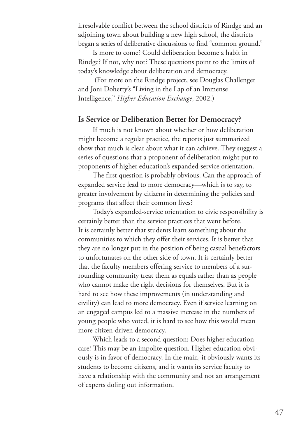irresolvable conflict between the school districts of Rindge and an adjoining town about building a new high school, the districts began a series of deliberative discussions to find "common ground."

Is more to come? Could deliberation become a habit in Rindge? If not, why not? These questions point to the limits of today's knowledge about deliberation and democracy.

(For more on the Rindge project, see Douglas Challenger and Joni Doherty's "Living in the Lap of an Immense Intelligence," *Higher Education Exchange*, 2002.)

#### **Is Service or Deliberation Better for Democracy?**

If much is not known about whether or how deliberation might become a regular practice, the reports just summarized show that much is clear about what it can achieve. They suggest a series of questions that a proponent of deliberation might put to proponents of higher education's expanded-service orientation.

The first question is probably obvious. Can the approach of expanded service lead to more democracy—which is to say, to greater involvement by citizens in determining the policies and programs that affect their common lives?

Today's expanded-service orientation to civic responsibility is certainly better than the service practices that went before. It is certainly better that students learn something about the communities to which they offer their services. It is better that they are no longer put in the position of being casual benefactors to unfortunates on the other side of town. It is certainly better that the faculty members offering service to members of a surrounding community treat them as equals rather than as people who cannot make the right decisions for themselves. But it is hard to see how these improvements (in understanding and civility) can lead to more democracy. Even if service learning on an engaged campus led to a massive increase in the numbers of young people who voted, it is hard to see how this would mean more citizen-driven democracy.

Which leads to a second question: Does higher education care? This may be an impolite question. Higher education obviously is in favor of democracy. In the main, it obviously wants its students to become citizens, and it wants its service faculty to have a relationship with the community and not an arrangement of experts doling out information.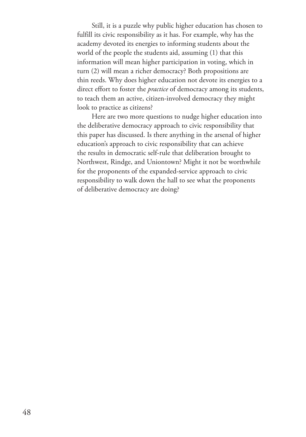Still, it is a puzzle why public higher education has chosen to fulfill its civic responsibility as it has. For example, why has the academy devoted its energies to informing students about the world of the people the students aid, assuming (1) that this information will mean higher participation in voting, which in turn (2) will mean a richer democracy? Both propositions are thin reeds. Why does higher education not devote its energies to a direct effort to foster the *practice* of democracy among its students, to teach them an active, citizen-involved democracy they might look to practice as citizens?

Here are two more questions to nudge higher education into the deliberative democracy approach to civic responsibility that this paper has discussed. Is there anything in the arsenal of higher education's approach to civic responsibility that can achieve the results in democratic self-rule that deliberation brought to Northwest, Rindge, and Uniontown? Might it not be worthwhile for the proponents of the expanded-service approach to civic responsibility to walk down the hall to see what the proponents of deliberative democracy are doing?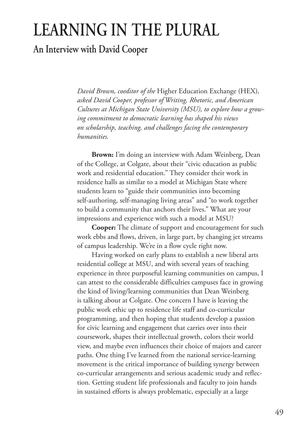# **LEARNING IN THE PLURAL**

**An Interview with David Cooper**

*David Brown, coeditor of the* Higher Education Exchange (HEX)*, asked David Cooper, professor of Writing, Rhetoric, and American Cultures at Michigan State University (MSU), to explore how a growing commitment to democratic learning has shaped his views on scholarship, teaching, and challenges facing the contemporary humanities.*

**Brown:** I'm doing an interview with Adam Weinberg, Dean of the College, at Colgate, about their "civic education as public work and residential education." They consider their work in residence halls as similar to a model at Michigan State where students learn to "guide their communities into becoming self-authoring, self-managing living areas" and "to work together to build a community that anchors their lives." What are your impressions and experience with such a model at MSU?

**Cooper:** The climate of support and encouragement for such work ebbs and flows, driven, in large part, by changing jet streams of campus leadership. We're in a flow cycle right now.

Having worked on early plans to establish a new liberal arts residential college at MSU, and with several years of teaching experience in three purposeful learning communities on campus, I can attest to the considerable difficulties campuses face in growing the kind of living/learning communities that Dean Weinberg is talking about at Colgate. One concern I have is leaving the public work ethic up to residence life staff and co-curricular programming, and then hoping that students develop a passion for civic learning and engagement that carries over into their coursework, shapes their intellectual growth, colors their world view, and maybe even influences their choice of majors and career paths. One thing I've learned from the national service-learning movement is the critical importance of building synergy between co-curricular arrangements and serious academic study and reflection. Getting student life professionals and faculty to join hands in sustained efforts is always problematic, especially at a large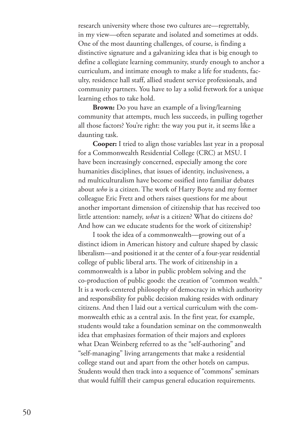research university where those two cultures are—regrettably, in my view—often separate and isolated and sometimes at odds. One of the most daunting challenges, of course, is finding a distinctive signature and a galvanizing idea that is big enough to define a collegiate learning community, sturdy enough to anchor a curriculum, and intimate enough to make a life for students, faculty, residence hall staff, allied student service professionals, and community partners. You have to lay a solid fretwork for a unique learning ethos to take hold.

**Brown:** Do you have an example of a living/learning community that attempts, much less succeeds, in pulling together all those factors? You're right: the way you put it, it seems like a daunting task.

**Cooper:** I tried to align those variables last year in a proposal for a Commonwealth Residential College (CRC) at MSU. I have been increasingly concerned, especially among the core humanities disciplines, that issues of identity, inclusiveness, a nd multiculturalism have become ossified into familiar debates about *who* is a citizen. The work of Harry Boyte and my former colleague Eric Fretz and others raises questions for me about another important dimension of citizenship that has received too little attention: namely, *what* is a citizen? What do citizens do? And how can we educate students for the work of citizenship?

I took the idea of a commonwealth—growing out of a distinct idiom in American history and culture shaped by classic liberalism—and positioned it at the center of a four-year residential college of public liberal arts. The work of citizenship in a commonwealth is a labor in public problem solving and the co-production of public goods: the creation of "common wealth." It is a work-centered philosophy of democracy in which authority and responsibility for public decision making resides with ordinary citizens. And then I laid out a vertical curriculum with the commonwealth ethic as a central axis. In the first year, for example, students would take a foundation seminar on the commonwealth idea that emphasizes formation of their majors and explores what Dean Weinberg referred to as the "self-authoring" and "self-managing" living arrangements that make a residential college stand out and apart from the other hotels on campus. Students would then track into a sequence of "commons" seminars that would fulfill their campus general education requirements.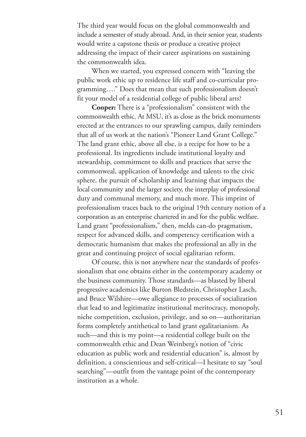The third year would focus on the global commonwealth and include a semester of study abroad. And, in their senior year, students would write a capstone thesis or produce a creative project addressing the impact of their career aspirations on sustaining the commonwealth idea.

When we started, you expressed concern with "leaving the public work ethic up to residence life staff and co-curricular programming…." Does that mean that such professionalism doesn't fit your model of a residential college of public liberal arts?

**Cooper:** There is a "professionalism" consistent with the commonwealth ethic. At MSU, it's as close as the brick monuments erected at the entrances to our sprawling campus, daily reminders that all of us work at the nation's "Pioneer Land Grant College." The land grant ethic, above all else, is a recipe for how to be a professional. Its ingredients include institutional loyalty and stewardship, commitment to skills and practices that serve the commonweal, application of knowledge and talents to the civic sphere, the pursuit of scholarship and learning that impacts the local community and the larger society, the interplay of professional duty and communal memory, and much more. This imprint of professionalism traces back to the original 19th century notion of a corporation as an enterprise chartered in and for the public welfare. Land grant "professionalism," then, melds can-do pragmatism, respect for advanced skills, and competency certification with a democratic humanism that makes the professional an ally in the great and continuing project of social egalitarian reform.

Of course, this is not anywhere near the standards of professionalism that one obtains either in the contemporary academy or the business community. Those standards—as blasted by liberal progressive academics like Burton Bledstein, Christopher Lasch, and Bruce Wilshire—owe allegiance to processes of socialization that lead to and legitimatize institutional meritocracy, monopoly, niche competition, exclusion, privilege, and so on—authoritarian forms completely antithetical to land grant egalitarianism. As such—and this is my point—a residential college built on the commonwealth ethic and Dean Weinberg's notion of "civic education as public work and residential education" is, almost by definition, a conscientious and self-critical—I hesitate to say "soul searching"—outfit from the vantage point of the contemporary institution as a whole.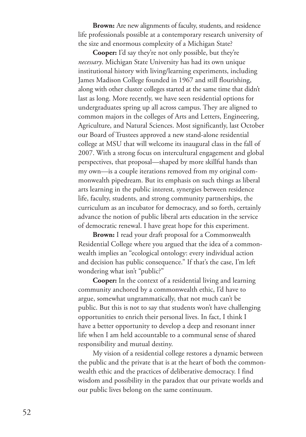**Brown:** Are new alignments of faculty, students, and residence life professionals possible at a contemporary research university of the size and enormous complexity of a Michigan State?

**Cooper:** I'd say they're not only possible, but they're *necessary*. Michigan State University has had its own unique institutional history with living/learning experiments, including James Madison College founded in 1967 and still flourishing, along with other cluster colleges started at the same time that didn't last as long. More recently, we have seen residential options for undergraduates spring up all across campus. They are aligned to common majors in the colleges of Arts and Letters, Engineering, Agriculture, and Natural Sciences. Most significantly, last October our Board of Trustees approved a new stand-alone residential college at MSU that will welcome its inaugural class in the fall of 2007. With a strong focus on intercultural engagement and global perspectives, that proposal—shaped by more skillful hands than my own—is a couple iterations removed from my original commonwealth pipedream. But its emphasis on such things as liberal arts learning in the public interest, synergies between residence life, faculty, students, and strong community partnerships, the curriculum as an incubator for democracy, and so forth, certainly advance the notion of public liberal arts education in the service of democratic renewal. I have great hope for this experiment.

**Brown:** I read your draft proposal for a Commonwealth Residential College where you argued that the idea of a commonwealth implies an "ecological ontology: every individual action and decision has public consequence." If that's the case, I'm left wondering what isn't "public?"

**Cooper:** In the context of a residential living and learning community anchored by a commonwealth ethic, I'd have to argue, somewhat ungrammatically, that not much can't be public. But this is not to say that students won't have challenging opportunities to enrich their personal lives. In fact, I think I have a better opportunity to develop a deep and resonant inner life when I am held accountable to a communal sense of shared responsibility and mutual destiny.

My vision of a residential college restores a dynamic between the public and the private that is at the heart of both the commonwealth ethic and the practices of deliberative democracy. I find wisdom and possibility in the paradox that our private worlds and our public lives belong on the same continuum.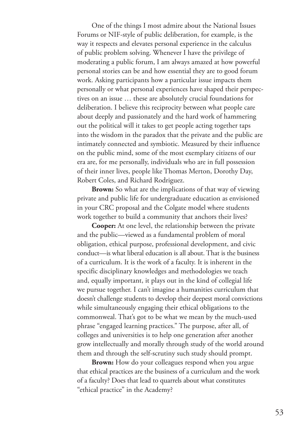One of the things I most admire about the National Issues Forums or NIF-style of public deliberation, for example, is the way it respects and elevates personal experience in the calculus of public problem solving. Whenever I have the privilege of moderating a public forum, I am always amazed at how powerful personal stories can be and how essential they are to good forum work. Asking participants how a particular issue impacts them personally or what personal experiences have shaped their perspectives on an issue … these are absolutely crucial foundations for deliberation. I believe this reciprocity between what people care about deeply and passionately and the hard work of hammering out the political will it takes to get people acting together taps into the wisdom in the paradox that the private and the public are intimately connected and symbiotic. Measured by their influence on the public mind, some of the most exemplary citizens of our era are, for me personally, individuals who are in full possession of their inner lives, people like Thomas Merton, Dorothy Day, Robert Coles, and Richard Rodriguez.

**Brown:** So what are the implications of that way of viewing private and public life for undergraduate education as envisioned in your CRC proposal and the Colgate model where students work together to build a community that anchors their lives?

**Cooper:** At one level, the relationship between the private and the public—viewed as a fundamental problem of moral obligation, ethical purpose, professional development, and civic conduct—is what liberal education is all about. That is the business of a curriculum. It is the work of a faculty. It is inherent in the specific disciplinary knowledges and methodologies we teach and, equally important, it plays out in the kind of collegial life we pursue together. I can't imagine a humanities curriculum that doesn't challenge students to develop their deepest moral convictions while simultaneously engaging their ethical obligations to the commonweal. That's got to be what we mean by the much-used phrase "engaged learning practices." The purpose, after all, of colleges and universities is to help one generation after another grow intellectually and morally through study of the world around them and through the self-scrutiny such study should prompt.

**Brown:** How do your colleagues respond when you argue that ethical practices are the business of a curriculum and the work of a faculty? Does that lead to quarrels about what constitutes "ethical practice" in the Academy?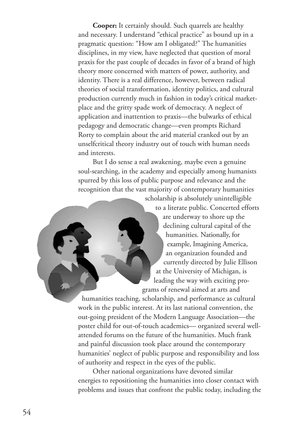**Cooper:** It certainly should. Such quarrels are healthy and necessary. I understand "ethical practice" as bound up in a pragmatic question: "How am I obligated?" The humanities disciplines, in my view, have neglected that question of moral praxis for the past couple of decades in favor of a brand of high theory more concerned with matters of power, authority, and identity. There is a real difference, however, between radical theories of social transformation, identity politics, and cultural production currently much in fashion in today's critical marketplace and the gritty spade work of democracy. A neglect of application and inattention to praxis—the bulwarks of ethical pedagogy and democratic change—even prompts Richard Rorty to complain about the arid material cranked out by an unselfcritical theory industry out of touch with human needs and interests.

But I do sense a real awakening, maybe even a genuine soul-searching, in the academy and especially among humanists spurred by this loss of public purpose and relevance and the recognition that the vast majority of contemporary humanities

> scholarship is absolutely unintelligible to a literate public. Concerted efforts are underway to shore up the declining cultural capital of the humanities. Nationally, for example, Imagining America, an organization founded and currently directed by Julie Ellison at the University of Michigan, is leading the way with exciting programs of renewal aimed at arts and

humanities teaching, scholarship, and performance as cultural work in the public interest. At its last national convention, the out-going president of the Modern Language Association—the poster child for out-of-touch academics— organized several wellattended forums on the future of the humanities. Much frank and painful discussion took place around the contemporary humanities' neglect of public purpose and responsibility and loss of authority and respect in the eyes of the public.

Other national organizations have devoted similar energies to repositioning the humanities into closer contact with problems and issues that confront the public today, including the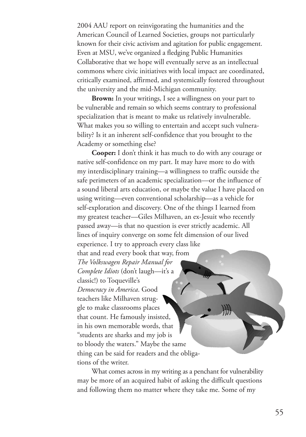2004 AAU report on reinvigorating the humanities and the American Council of Learned Societies, groups not particularly known for their civic activism and agitation for public engagement. Even at MSU, we've organized a fledging Public Humanities Collaborative that we hope will eventually serve as an intellectual commons where civic initiatives with local impact are coordinated, critically examined, affirmed, and systemically fostered throughout the university and the mid-Michigan community.

**Brown:** In your writings, I see a willingness on your part to be vulnerable and remain so which seems contrary to professional specialization that is meant to make us relatively invulnerable. What makes you so willing to entertain and accept such vulnerability? Is it an inherent self-confidence that you brought to the Academy or something else?

**Cooper:** I don't think it has much to do with any courage or native self-confidence on my part. It may have more to do with my interdisciplinary training—a willingness to traffic outside the safe perimeters of an academic specialization—or the influence of a sound liberal arts education, or maybe the value I have placed on using writing—even conventional scholarship—as a vehicle for self-exploration and discovery. One of the things I learned from my greatest teacher—Giles Milhaven, an ex-Jesuit who recently passed away—is that no question is ever strictly academic. All lines of inquiry converge on some felt dimension of our lived experience. I try to approach every class like that and read every book that way, from *The Volkswagen Repair Manual for Complete Idiots* (don't laugh—it's a classic!) to Toqueville's

*Democracy in America*. Good teachers like Milhaven struggle to make classrooms places that count. He famously insisted, in his own memorable words, that "students are sharks and my job is to bloody the waters." Maybe the same thing can be said for readers and the obligations of the writer.

What comes across in my writing as a penchant for vulnerability may be more of an acquired habit of asking the difficult questions and following them no matter where they take me. Some of my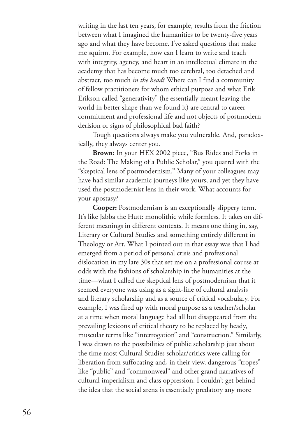writing in the last ten years, for example, results from the friction between what I imagined the humanities to be twenty-five years ago and what they have become. I've asked questions that make me squirm. For example, how can I learn to write and teach with integrity, agency, and heart in an intellectual climate in the academy that has become much too cerebral, too detached and abstract, too much *in the head*? Where can I find a community of fellow practitioners for whom ethical purpose and what Erik Erikson called "generativity" (he essentially meant leaving the world in better shape than we found it) are central to career commitment and professional life and not objects of postmodern derision or signs of philosophical bad faith?

Tough questions always make you vulnerable. And, paradoxically, they always center you.

**Brown:** In your HEX 2002 piece, "Bus Rides and Forks in the Road: The Making of a Public Scholar," you quarrel with the "skeptical lens of postmodernism." Many of your colleagues may have had similar academic journeys like yours, and yet they have used the postmodernist lens in their work. What accounts for your apostasy?

**Cooper:** Postmodernism is an exceptionally slippery term. It's like Jabba the Hutt: monolithic while formless. It takes on different meanings in different contexts. It means one thing in, say, Literary or Cultural Studies and something entirely different in Theology or Art. What I pointed out in that essay was that I had emerged from a period of personal crisis and professional dislocation in my late 30s that set me on a professional course at odds with the fashions of scholarship in the humanities at the time—what I called the skeptical lens of postmodernism that it seemed everyone was using as a sight-line of cultural analysis and literary scholarship and as a source of critical vocabulary. For example, I was fired up with moral purpose as a teacher/scholar at a time when moral language had all but disappeared from the prevailing lexicons of critical theory to be replaced by heady, muscular terms like "interrogation" and "construction." Similarly, I was drawn to the possibilities of public scholarship just about the time most Cultural Studies scholar/critics were calling for liberation from suffocating and, in their view, dangerous "tropes" like "public" and "commonweal" and other grand narratives of cultural imperialism and class oppression. I couldn't get behind the idea that the social arena is essentially predatory any more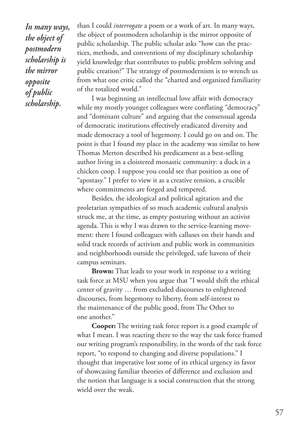*In many ways, the object of postmodern scholarship is the mirror opposite of public scholarship.*

than I could *interrogate* a poem or a work of art. In many ways, the object of postmodern scholarship is the mirror opposite of public scholarship. The public scholar asks "how can the practices, methods, and conventions of my disciplinary scholarship yield knowledge that contributes to public problem solving and public creation?" The strategy of postmodernism is to wrench us from what one critic called the "charted and organized familiarity of the totalized world."

I was beginning an intellectual love affair with democracy while my mostly younger colleagues were conflating "democracy" and "dominant culture" and arguing that the consensual agenda of democratic institutions effectively eradicated diversity and made democracy a tool of hegemony. I could go on and on. The point is that I found my place in the academy was similar to how Thomas Merton described his predicament as a best-selling author living in a cloistered monastic community: a duck in a chicken coop. I suppose you could see that position as one of "apostasy." I prefer to view it as a creative tension, a crucible where commitments are forged and tempered.

Besides, the ideological and political agitation and the proletarian sympathies of so much academic cultural analysis struck me, at the time, as empty posturing without an activist agenda. This is why I was drawn to the service-learning movement: there I found colleagues with calluses on their hands and solid track records of activism and public work in communities and neighborhoods outside the privileged, safe havens of their campus seminars.

**Brown:** That leads to your work in response to a writing task force at MSU when you argue that "I would shift the ethical center of gravity … from excluded discourses to enlightened discourses, from hegemony to liberty, from self-interest to the maintenance of the public good, from The Other to one another."

**Cooper:** The writing task force report is a good example of what I mean. I was reacting there to the way the task force framed our writing program's responsibility, in the words of the task force report, "to respond to changing and diverse populations." I thought that imperative lost some of its ethical urgency in favor of showcasing familiar theories of difference and exclusion and the notion that language is a social construction that the strong wield over the weak.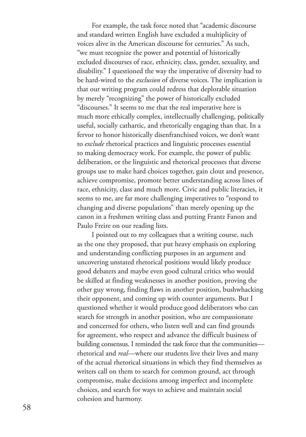For example, the task force noted that "academic discourse and standard written English have excluded a multiplicity of voices alive in the American discourse for centuries." As such, "we must recognize the power and potential of historically excluded discourses of race, ethnicity, class, gender, sexuality, and disability." I questioned the way the imperative of diversity had to be hard-wired to the *exclusion* of diverse voices. The implication is that our writing program could redress that deplorable situation by merely "recognizing" the power of historically excluded "discourses." It seems to me that the real imperative here is much more ethically complex, intellectually challenging, politically useful, socially cathartic, and rhetorically engaging than that. In a fervor to honor historically disenfranchised voices, we don't want to *exclude* rhetorical practices and linguistic processes essential to making democracy work. For example, the power of public deliberation, or the linguistic and rhetorical processes that diverse groups use to make hard choices together, gain clout and presence, achieve compromise, promote better understanding across lines of race, ethnicity, class and much more. Civic and public literacies, it seems to me, are far more challenging imperatives to "respond to changing and diverse populations" than merely opening up the canon in a freshmen writing class and putting Frantz Fanon and Paulo Freire on our reading lists.

I pointed out to my colleagues that a writing course, such as the one they proposed, that put heavy emphasis on exploring and understanding conflicting purposes in an argument and uncovering unstated rhetorical positions would likely produce good debaters and maybe even good cultural critics who would be skilled at finding weaknesses in another position, proving the other guy wrong, finding flaws in another position, bushwhacking their opponent, and coming up with counter arguments. But I questioned whether it would produce good deliberators who can search for strength in another position, who are compassionate and concerned for others, who listen well and can find grounds for agreement, who respect and advance the difficult business of building consensus. I reminded the task force that the communities rhetorical and *real*—where our students live their lives and many of the actual rhetorical situations in which they find themselves as writers call on them to search for common ground, act through compromise, make decisions among imperfect and incomplete choices, and search for ways to achieve and maintain social cohesion and harmony.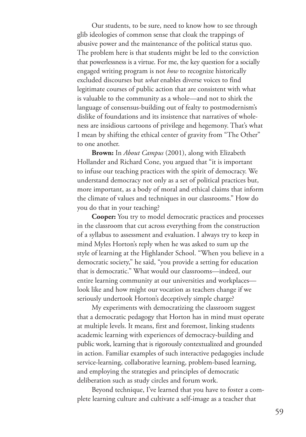Our students, to be sure, need to know how to see through glib ideologies of common sense that cloak the trappings of abusive power and the maintenance of the political status quo. The problem here is that students might be led to the conviction that powerlessness is a virtue. For me, the key question for a socially engaged writing program is not *how* to recognize historically excluded discourses but *what* enables diverse voices to find legitimate courses of public action that are consistent with what is valuable to the community as a whole—and not to shirk the language of consensus-building out of fealty to postmodernism's dislike of foundations and its insistence that narratives of wholeness are insidious cartoons of privilege and hegemony. That's what I mean by shifting the ethical center of gravity from "The Other" to one another.

**Brown:** In *About Campus* (2001), along with Elizabeth Hollander and Richard Cone, you argued that "it is important to infuse our teaching practices with the spirit of democracy. We understand democracy not only as a set of political practices but, more important, as a body of moral and ethical claims that inform the climate of values and techniques in our classrooms." How do you do that in your teaching?

**Cooper:** You try to model democratic practices and processes in the classroom that cut across everything from the construction of a syllabus to assessment and evaluation. I always try to keep in mind Myles Horton's reply when he was asked to sum up the style of learning at the Highlander School. "When you believe in a democratic society," he said, "you provide a setting for education that is democratic." What would our classrooms—indeed, our entire learning community at our universities and workplaces look like and how might our vocation as teachers change if we seriously undertook Horton's deceptively simple charge?

My experiments with democratizing the classroom suggest that a democratic pedagogy that Horton has in mind must operate at multiple levels. It means, first and foremost, linking students academic learning with experiences of democracy-building and public work, learning that is rigorously contextualized and grounded in action. Familiar examples of such interactive pedagogies include service-learning, collaborative learning, problem-based learning, and employing the strategies and principles of democratic deliberation such as study circles and forum work.

Beyond technique, I've learned that you have to foster a complete learning culture and cultivate a self-image as a teacher that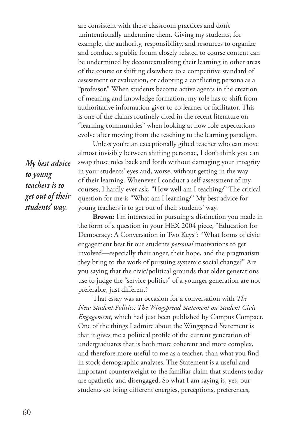are consistent with these classroom practices and don't unintentionally undermine them. Giving my students, for example, the authority, responsibility, and resources to organize and conduct a public forum closely related to course content can be undermined by decontextualizing their learning in other areas of the course or shifting elsewhere to a competitive standard of assessment or evaluation, or adopting a conflicting persona as a "professor." When students become active agents in the creation of meaning and knowledge formation, my role has to shift from authoritative information giver to co-learner or facilitator. This is one of the claims routinely cited in the recent literature on "learning communities" when looking at how role expectations evolve after moving from the teaching to the learning paradigm.

Unless you're an exceptionally gifted teacher who can move almost invisibly between shifting personae, I don't think you can swap those roles back and forth without damaging your integrity in your students' eyes and, worse, without getting in the way of their learning. Whenever I conduct a self-assessment of my courses, I hardly ever ask, "How well am I teaching?" The critical question for me is "What am I learning?" My best advice for young teachers is to get out of their students' way.

**Brown:** I'm interested in pursuing a distinction you made in the form of a question in your HEX 2004 piece, "Education for Democracy: A Conversation in Two Keys": "What forms of civic engagement best fit our students *personal* motivations to get involved—especially their anger, their hope, and the pragmatism they bring to the work of pursuing systemic social change?" Are you saying that the civic/political grounds that older generations use to judge the "service politics" of a younger generation are not preferable, just different?

That essay was an occasion for a conversation with *The New Student Politics: The Wingspread Statement on Student Civic Engagement*, which had just been published by Campus Compact. One of the things I admire about the Wingspread Statement is that it gives me a political profile of the current generation of undergraduates that is both more coherent and more complex, and therefore more useful to me as a teacher, than what you find in stock demographic analyses. The Statement is a useful and important counterweight to the familiar claim that students today are apathetic and disengaged. So what I am saying is, yes, our students do bring different energies, perceptions, preferences,

*My best advice to young teachers is to get out of their students' way.*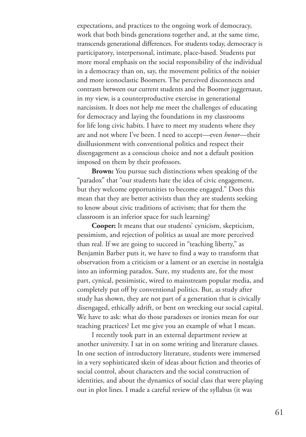expectations, and practices to the ongoing work of democracy, work that both binds generations together and, at the same time, transcends generational differences. For students today, democracy is participatory, interpersonal, intimate, place-based. Students put more moral emphasis on the social responsibility of the individual in a democracy than on, say, the movement politics of the noisier and more iconoclastic Boomers. The perceived disconnects and contrasts between our current students and the Boomer juggernaut, in my view, is a counterproductive exercise in generational narcissism. It does not help me meet the challenges of educating for democracy and laying the foundations in my classrooms for life long civic habits. I have to meet my students where they are and not where I've been. I need to accept—even *honor*—their disillusionment with conventional politics and respect their disengagement as a conscious choice and not a default position imposed on them by their professors.

**Brown:** You pursue such distinctions when speaking of the "paradox" that "our students hate the idea of civic engagement, but they welcome opportunities to become engaged." Does this mean that they are better activists than they are students seeking to know about civic traditions of activism; that for them the classroom is an inferior space for such learning?

**Cooper:** It means that our students' cynicism, skepticism, pessimism, and rejection of politics as usual are more perceived than real. If we are going to succeed in "teaching liberty," as Benjamin Barber puts it, we have to find a way to transform that observation from a criticism or a lament or an exercise in nostalgia into an informing paradox. Sure, my students are, for the most part, cynical, pessimistic, wired to mainstream popular media, and completely put off by conventional politics. But, as study after study has shown, they are not part of a generation that is civically disengaged, ethically adrift, or bent on wrecking our social capital. We have to ask: what do those paradoxes or ironies mean for our teaching practices? Let me give you an example of what I mean.

I recently took part in an external department review at another university. I sat in on some writing and literature classes. In one section of introductory literature, students were immersed in a very sophisticated skein of ideas about fiction and theories of social control, about characters and the social construction of identities, and about the dynamics of social class that were playing out in plot lines. I made a careful review of the syllabus (it was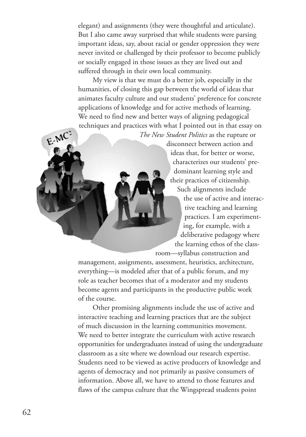elegant) and assignments (they were thoughtful and articulate). But I also came away surprised that while students were parsing important ideas, say, about racial or gender oppression they were never invited or challenged by their professor to become publicly or socially engaged in those issues as they are lived out and suffered through in their own local community.

My view is that we must do a better job, especially in the humanities, of closing this gap between the world of ideas that animates faculty culture and our students' preference for concrete applications of knowledge and for active methods of learning. We need to find new and better ways of aligning pedagogical techniques and practices with what I pointed out in that essay on

> *The New Student Politics* as the rupture or disconnect between action and ideas that, for better or worse, characterizes our students' predominant learning style and their practices of citizenship.

> > Such alignments include the use of active and interactive teaching and learning practices. I am experimenting, for example, with a deliberative pedagogy where the learning ethos of the classroom—syllabus construction and

management, assignments, assessment, heuristics, architecture, everything—is modeled after that of a public forum, and my role as teacher becomes that of a moderator and my students become agents and participants in the productive public work of the course.

Other promising alignments include the use of active and interactive teaching and learning practices that are the subject of much discussion in the learning communities movement. We need to better integrate the curriculum with active research opportunities for undergraduates instead of using the undergraduate classroom as a site where we download our research expertise. Students need to be viewed as active producers of knowledge and agents of democracy and not primarily as passive consumers of information. Above all, we have to attend to those features and flaws of the campus culture that the Wingspread students point

E-MC<sub>2</sub>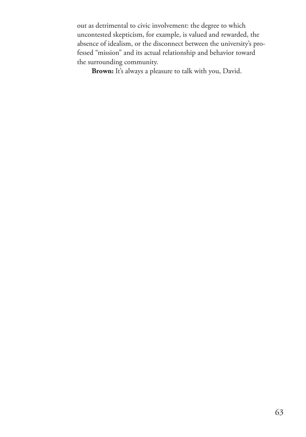out as detrimental to civic involvement: the degree to which uncontested skepticism, for example, is valued and rewarded, the absence of idealism, or the disconnect between the university's professed "mission" and its actual relationship and behavior toward the surrounding community.

Brown: It's always a pleasure to talk with you, David.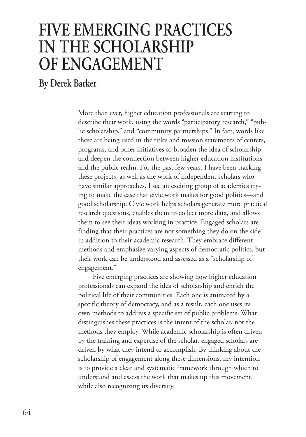# **FIVE EMERGING PRACTICES IN THE SCHOLARSHIP OF ENGAGEMENT**

**By Derek Barker**

More than ever, higher education professionals are starting to describe their work, using the words "participatory research," "public scholarship," and "community partnerships." In fact, words like these are being used in the titles and mission statements of centers, programs, and other initiatives to broaden the idea of scholarship and deepen the connection between higher education institutions and the public realm. For the past few years, I have been tracking these projects, as well as the work of independent scholars who have similar approaches. I see an exciting group of academics trying to make the case that civic work makes for good politics—and good scholarship. Civic work helps scholars generate more practical research questions, enables them to collect more data, and allows them to see their ideas working in practice. Engaged scholars are finding that their practices are not something they do on the side in addition to their academic research. They embrace different methods and emphasize varying aspects of democratic politics, but their work can be understood and assessed as a "scholarship of engagement."

Five emerging practices are showing how higher education professionals can expand the idea of scholarship and enrich the political life of their communities. Each one is animated by a specific theory of democracy, and as a result, each one uses its own methods to address a specific set of public problems. What distinguishes these practices is the intent of the scholar, not the methods they employ. While academic scholarship is often driven by the training and expertise of the scholar, engaged scholars are driven by what they intend to accomplish. By thinking about the scholarship of engagement along these dimensions, my intention is to provide a clear and systematic framework through which to understand and assess the work that makes up this movement, while also recognizing its diversity.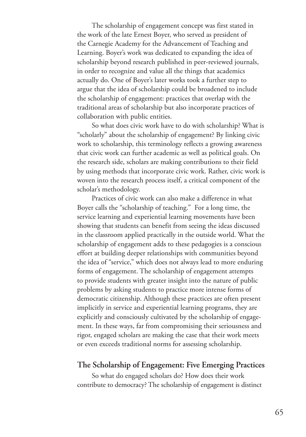The scholarship of engagement concept was first stated in the work of the late Ernest Boyer, who served as president of the Carnegie Academy for the Advancement of Teaching and Learning. Boyer's work was dedicated to expanding the idea of scholarship beyond research published in peer-reviewed journals, in order to recognize and value all the things that academics actually do. One of Boyer's later works took a further step to argue that the idea of scholarship could be broadened to include the scholarship of engagement: practices that overlap with the traditional areas of scholarship but also incorporate practices of collaboration with public entities.

So what does civic work have to do with scholarship? What is "scholarly" about the scholarship of engagement? By linking civic work to scholarship, this terminology reflects a growing awareness that civic work can further academic as well as political goals. On the research side, scholars are making contributions to their field by using methods that incorporate civic work. Rather, civic work is woven into the research process itself, a critical component of the scholar's methodology.

Practices of civic work can also make a difference in what Boyer calls the "scholarship of teaching." For a long time, the service learning and experiential learning movements have been showing that students can benefit from seeing the ideas discussed in the classroom applied practically in the outside world. What the scholarship of engagement adds to these pedagogies is a conscious effort at building deeper relationships with communities beyond the idea of "service," which does not always lead to more enduring forms of engagement. The scholarship of engagement attempts to provide students with greater insight into the nature of public problems by asking students to practice more intense forms of democratic citizenship. Although these practices are often present implicitly in service and experiential learning programs, they are explicitly and consciously cultivated by the scholarship of engagement. In these ways, far from compromising their seriousness and rigor, engaged scholars are making the case that their work meets or even exceeds traditional norms for assessing scholarship.

#### **The Scholarship of Engagement: Five Emerging Practices**

So what do engaged scholars do? How does their work contribute to democracy? The scholarship of engagement is distinct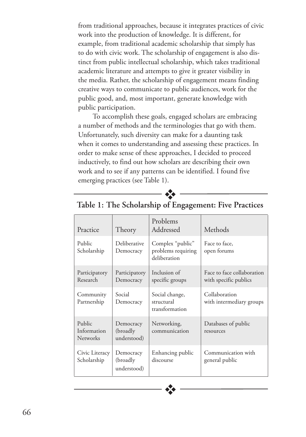from traditional approaches, because it integrates practices of civic work into the production of knowledge. It is different, for example, from traditional academic scholarship that simply has to do with civic work. The scholarship of engagement is also distinct from public intellectual scholarship, which takes traditional academic literature and attempts to give it greater visibility in the media. Rather, the scholarship of engagement means finding creative ways to communicate to public audiences, work for the public good, and, most important, generate knowledge with public participation.

To accomplish these goals, engaged scholars are embracing a number of methods and the terminologies that go with them. Unfortunately, such diversity can make for a daunting task when it comes to understanding and assessing these practices. In order to make sense of these approaches, I decided to proceed inductively, to find out how scholars are describing their own work and to see if any patterns can be identified. I found five emerging practices (see Table 1).

| Practice                                 | Theory                               | Problems<br>Addressed                                  | Methods                                             |
|------------------------------------------|--------------------------------------|--------------------------------------------------------|-----------------------------------------------------|
| Public<br>Scholarship                    | Deliberative<br>Democracy            | Complex "public"<br>problems requiring<br>deliberation | Face to face,<br>open forums                        |
| Participatory<br>Research                | Participatory<br>Democracy           | Inclusion of<br>specific groups                        | Face to face collaboration<br>with specific publics |
| Community<br>Partnership                 | Social<br>Democracy                  | Social change,<br>structural<br>transformation         | Collaboration<br>with intermediary groups           |
| Public<br>Information<br><b>Networks</b> | Democracy<br>(broadly<br>understood) | Networking,<br>communication                           | Databases of public<br>resources                    |
| Civic Literacy<br>Scholarship            | Democracy<br>(broadly<br>understood) | Enhancing public<br>discourse                          | Communication with<br>general public                |

# **Table 1: The Scholarship of Engagement: Five Practices**

 $-1.5$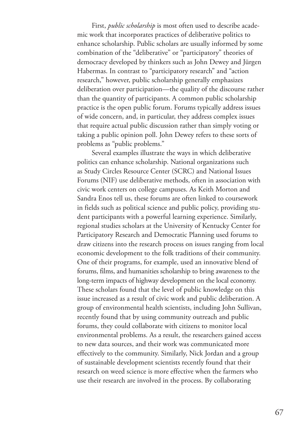First, *public scholarship* is most often used to describe academic work that incorporates practices of deliberative politics to enhance scholarship. Public scholars are usually informed by some combination of the "deliberative" or "participatory" theories of democracy developed by thinkers such as John Dewey and Jürgen Habermas. In contrast to "participatory research" and "action research," however, public scholarship generally emphasizes deliberation over participation—the quality of the discourse rather than the quantity of participants. A common public scholarship practice is the open public forum. Forums typically address issues of wide concern, and, in particular, they address complex issues that require actual public discussion rather than simply voting or taking a public opinion poll. John Dewey refers to these sorts of problems as "public problems."

Several examples illustrate the ways in which deliberative politics can enhance scholarship. National organizations such as Study Circles Resource Center (SCRC) and National Issues Forums (NIF) use deliberative methods, often in association with civic work centers on college campuses. As Keith Morton and Sandra Enos tell us, these forums are often linked to coursework in fields such as political science and public policy, providing student participants with a powerful learning experience. Similarly, regional studies scholars at the University of Kentucky Center for Participatory Research and Democratic Planning used forums to draw citizens into the research process on issues ranging from local economic development to the folk traditions of their community. One of their programs, for example, used an innovative blend of forums, films, and humanities scholarship to bring awareness to the long-term impacts of highway development on the local economy. These scholars found that the level of public knowledge on this issue increased as a result of civic work and public deliberation. A group of environmental health scientists, including John Sullivan, recently found that by using community outreach and public forums, they could collaborate with citizens to monitor local environmental problems. As a result, the researchers gained access to new data sources, and their work was communicated more effectively to the community. Similarly, Nick Jordan and a group of sustainable development scientists recently found that their research on weed science is more effective when the farmers who use their research are involved in the process. By collaborating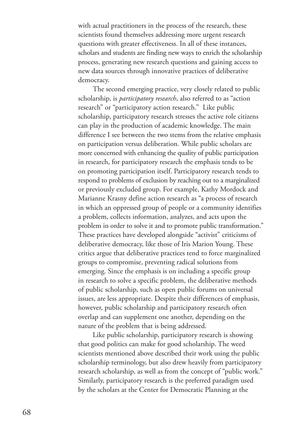with actual practitioners in the process of the research, these scientists found themselves addressing more urgent research questions with greater effectiveness. In all of these instances, scholars and students are finding new ways to enrich the scholarship process, generating new research questions and gaining access to new data sources through innovative practices of deliberative democracy.

The second emerging practice, very closely related to public scholarship, is *participatory research*, also referred to as "action research" or "participatory action research." Like public scholarship, participatory research stresses the active role citizens can play in the production of academic knowledge. The main difference I see between the two stems from the relative emphasis on participation versus deliberation. While public scholars are more concerned with enhancing the quality of public participation in research, for participatory research the emphasis tends to be on promoting participation itself. Participatory research tends to respond to problems of exclusion by reaching out to a marginalized or previously excluded group. For example, Kathy Mordock and Marianne Krasny define action research as "a process of research in which an oppressed group of people or a community identifies a problem, collects information, analyzes, and acts upon the problem in order to solve it and to promote public transformation." These practices have developed alongside "activist" criticisms of deliberative democracy, like those of Iris Marion Young. These critics argue that deliberative practices tend to force marginalized groups to compromise, preventing radical solutions from emerging. Since the emphasis is on including a specific group in research to solve a specific problem, the deliberative methods of public scholarship, such as open public forums on universal issues, are less appropriate. Despite their differences of emphasis, however, public scholarship and participatory research often overlap and can supplement one another, depending on the nature of the problem that is being addressed.

Like public scholarship, participatory research is showing that good politics can make for good scholarship. The weed scientists mentioned above described their work using the public scholarship terminology, but also drew heavily from participatory research scholarship, as well as from the concept of "public work." Similarly, participatory research is the preferred paradigm used by the scholars at the Center for Democratic Planning at the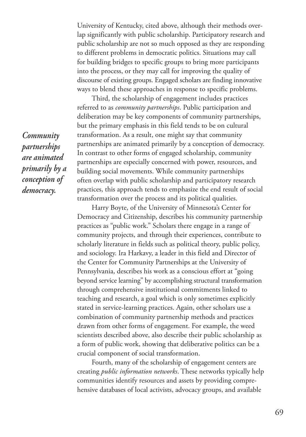University of Kentucky, cited above, although their methods overlap significantly with public scholarship. Participatory research and public scholarship are not so much opposed as they are responding to different problems in democratic politics. Situations may call for building bridges to specific groups to bring more participants into the process, or they may call for improving the quality of discourse of existing groups. Engaged scholars are finding innovative ways to blend these approaches in response to specific problems.

Third, the scholarship of engagement includes practices referred to as *community partnerships*. Public participation and deliberation may be key components of community partnerships, but the primary emphasis in this field tends to be on cultural transformation. As a result, one might say that community partnerships are animated primarily by a conception of democracy. In contrast to other forms of engaged scholarship, community partnerships are especially concerned with power, resources, and building social movements. While community partnerships often overlap with public scholarship and participatory research practices, this approach tends to emphasize the end result of social transformation over the process and its political qualities.

Harry Boyte, of the University of Minnesota's Center for Democracy and Citizenship, describes his community partnership practices as "public work." Scholars there engage in a range of community projects, and through their experiences, contribute to scholarly literature in fields such as political theory, public policy, and sociology. Ira Harkavy, a leader in this field and Director of the Center for Community Partnerships at the University of Pennsylvania, describes his work as a conscious effort at "going beyond service learning" by accomplishing structural transformation through comprehensive institutional commitments linked to teaching and research, a goal which is only sometimes explicitly stated in service-learning practices. Again, other scholars use a combination of community partnership methods and practices drawn from other forms of engagement. For example, the weed scientists described above, also describe their public scholarship as a form of public work, showing that deliberative politics can be a crucial component of social transformation.

Fourth, many of the scholarship of engagement centers are creating *public information networks*. These networks typically help communities identify resources and assets by providing comprehensive databases of local activists, advocacy groups, and available

*Community partnerships are animated primarily by a conception of democracy.*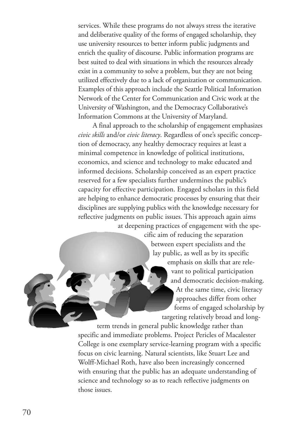services. While these programs do not always stress the iterative and deliberative quality of the forms of engaged scholarship, they use university resources to better inform public judgments and enrich the quality of discourse. Public information programs are best suited to deal with situations in which the resources already exist in a community to solve a problem, but they are not being utilized effectively due to a lack of organization or communication. Examples of this approach include the Seattle Political Information Network of the Center for Communication and Civic work at the University of Washington, and the Democracy Collaborative's Information Commons at the University of Maryland.

A final approach to the scholarship of engagement emphasizes *civic skills* and/or *civic literacy*. Regardless of one's specific conception of democracy, any healthy democracy requires at least a minimal competence in knowledge of political institutions, economics, and science and technology to make educated and informed decisions. Scholarship conceived as an expert practice reserved for a few specialists further undermines the public's capacity for effective participation. Engaged scholars in this field are helping to enhance democratic processes by ensuring that their disciplines are supplying publics with the knowledge necessary for reflective judgments on public issues. This approach again aims at deepening practices of engagement with the spe-

> cific aim of reducing the separation between expert specialists and the lay public, as well as by its specific emphasis on skills that are relevant to political participation and democratic decision-making. At the same time, civic literacy approaches differ from other forms of engaged scholarship by targeting relatively broad and long-

term trends in general public knowledge rather than specific and immediate problems. Project Pericles of Macalester College is one exemplary service-learning program with a specific focus on civic learning. Natural scientists, like Stuart Lee and Wolff-Michael Roth, have also been increasingly concerned with ensuring that the public has an adequate understanding of science and technology so as to reach reflective judgments on those issues.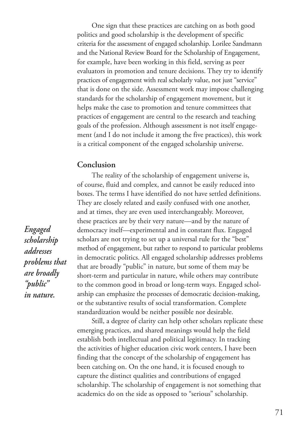One sign that these practices are catching on as both good politics and good scholarship is the development of specific criteria for the assessment of engaged scholarship. Lorilee Sandmann and the National Review Board for the Scholarship of Engagement, for example, have been working in this field, serving as peer evaluators in promotion and tenure decisions. They try to identify practices of engagement with real scholarly value, not just "service" that is done on the side. Assessment work may impose challenging standards for the scholarship of engagement movement, but it helps make the case to promotion and tenure committees that practices of engagement are central to the research and teaching goals of the profession. Although assessment is not itself engagement (and I do not include it among the five practices), this work is a critical component of the engaged scholarship universe.

#### **Conclusion**

The reality of the scholarship of engagement universe is, of course, fluid and complex, and cannot be easily reduced into boxes. The terms I have identified do not have settled definitions. They are closely related and easily confused with one another, and at times, they are even used interchangeably. Moreover, these practices are by their very nature—and by the nature of democracy itself—experimental and in constant flux. Engaged scholars are not trying to set up a universal rule for the "best" method of engagement, but rather to respond to particular problems in democratic politics. All engaged scholarship addresses problems that are broadly "public" in nature, but some of them may be short-term and particular in nature, while others may contribute to the common good in broad or long-term ways. Engaged scholarship can emphasize the processes of democratic decision-making, or the substantive results of social transformation. Complete standardization would be neither possible nor desirable.

Still, a degree of clarity can help other scholars replicate these emerging practices, and shared meanings would help the field establish both intellectual and political legitimacy. In tracking the activities of higher education civic work centers, I have been finding that the concept of the scholarship of engagement has been catching on. On the one hand, it is focused enough to capture the distinct qualities and contributions of engaged scholarship. The scholarship of engagement is not something that academics do on the side as opposed to "serious" scholarship.

*Engaged scholarship addresses problems that are broadly "public" in nature.*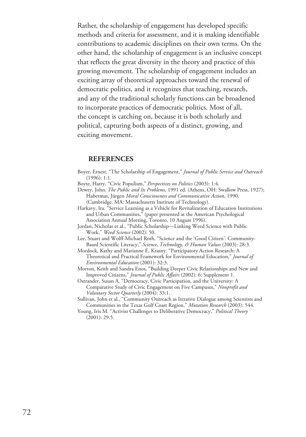Rather, the scholarship of engagement has developed specific methods and criteria for assessment, and it is making identifiable contributions to academic disciplines on their own terms. On the other hand, the scholarship of engagement is an inclusive concept that reflects the great diversity in the theory and practice of this growing movement. The scholarship of engagement includes an exciting array of theoretical approaches toward the renewal of democratic politics, and it recognizes that teaching, research, and any of the traditional scholarly functions can be broadened to incorporate practices of democratic politics. Most of all, the concept is catching on, because it is both scholarly and political, capturing both aspects of a distinct, growing, and exciting movement.

#### **REFERENCES**

- Boyer, Ernest. "The Scholarship of Engagement," *Journal of Public Service and Outreach* (1996): 1:1.
- Boyte, Harry. "Civic Populism," *Perspectives on Politics* (2003): 1:4.
- Dewey, John. *The Public and Its Problems*, 1991 ed. (Athens, OH: Swallow Press, 1927); Habermas, Jürgen *Moral Consciousness and Communicative Action*, 1990. (Cambridge, MA: Massachusetts Institute of Technology).
- Harkavy, Ira. "Service Learning as a Vehicle for Revitalization of Education Institutions and Urban Communities," (paper presented at the American Psychological Association Annual Meeting, Toronto, 10 August 1996).
- Jordan, Nicholas et al., "Public Scholarship—Linking Weed Science with Public Work," *Weed Science* (2002): 50.
- Lee, Stuart and Wolff-Michael Roth. "Science and the 'Good Citizen': Community-Based Scientific Literacy," *Science, Technology, & Human Values* (2003): 28:3.
- Mordock, Kathy and Marianne E. Krasny. "Participatory Action Research: A Theoretical and Practical Framework for Environmental Education," *Journal of Environmental Education* (2001): 32:3.
- Morton, Keith and Sandra Enos, "Building Deeper Civic Relationships and New and Improved Citizens," *Journal of Public Affairs* (2002): 6: Supplement 1.
- Ostrander, Susan A. "Democracy, Civic Participation, and the University: A Comparative Study of Civic Engagement on Five Campuses," *Nonprofit and Voluntary Sector Quarterly* (2004): 33:1.
- Sullivan, John et al., "Community Outreach as Iterative Dialogue among Scientists and Communities in the Texas Gulf Coast Region," *Mutation Research* (2003): 544.
- Young, Iris M. "Activist Challenges to Deliberative Democracy," *Political Theory* (2001): 29:5.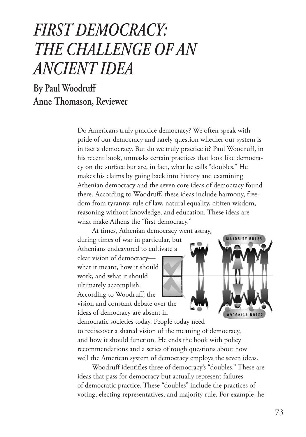# *FIRST DEMOCRACY: THE CHALLENGE OF AN ANCIENT IDEA*

### **By Paul Woodruff Anne Thomason, Reviewer**

Do Americans truly practice democracy? We often speak with pride of our democracy and rarely question whether our system is in fact a democracy. But do we truly practice it? Paul Woodruff, in his recent book, unmasks certain practices that look like democracy on the surface but are, in fact, what he calls "doubles." He makes his claims by going back into history and examining Athenian democracy and the seven core ideas of democracy found there. According to Woodruff, these ideas include harmony, freedom from tyranny, rule of law, natural equality, citizen wisdom, reasoning without knowledge, and education. These ideas are what make Athens the "first democracy."

At times, Athenian democracy went astray, during times of war in particular, but Athenians endeavored to cultivate a clear vision of democracy what it meant, how it should work, and what it should ultimately accomplish. According to Woodruff, the vision and constant debate over the ideas of democracy are absent in



democratic societies today. People today need to rediscover a shared vision of the meaning of democracy, and how it should function. He ends the book with policy recommendations and a series of tough questions about how well the American system of democracy employs the seven ideas.

Woodruff identifies three of democracy's "doubles." These are ideas that pass for democracy but actually represent failures of democratic practice. These "doubles" include the practices of voting, electing representatives, and majority rule. For example, he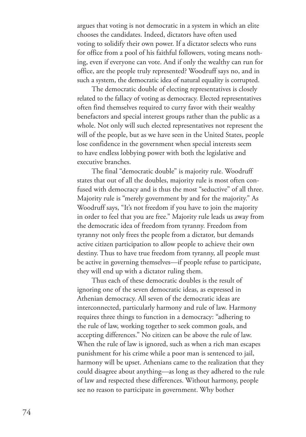argues that voting is not democratic in a system in which an elite chooses the candidates. Indeed, dictators have often used voting to solidify their own power. If a dictator selects who runs for office from a pool of his faithful followers, voting means nothing, even if everyone can vote. And if only the wealthy can run for office, are the people truly represented? Woodruff says no, and in such a system, the democratic idea of natural equality is corrupted.

The democratic double of electing representatives is closely related to the fallacy of voting as democracy. Elected representatives often find themselves required to curry favor with their wealthy benefactors and special interest groups rather than the public as a whole. Not only will such elected representatives not represent the will of the people, but as we have seen in the United States, people lose confidence in the government when special interests seem to have endless lobbying power with both the legislative and executive branches.

The final "democratic double" is majority rule. Woodruff states that out of all the doubles, majority rule is most often confused with democracy and is thus the most "seductive" of all three. Majority rule is "merely government by and for the majority." As Woodruff says, "It's not freedom if you have to join the majority in order to feel that you are free." Majority rule leads us away from the democratic idea of freedom from tyranny. Freedom from tyranny not only frees the people from a dictator, but demands active citizen participation to allow people to achieve their own destiny. Thus to have true freedom from tyranny, all people must be active in governing themselves—if people refuse to participate, they will end up with a dictator ruling them.

Thus each of these democratic doubles is the result of ignoring one of the seven democratic ideas, as expressed in Athenian democracy. All seven of the democratic ideas are interconnected, particularly harmony and rule of law. Harmony requires three things to function in a democracy: "adhering to the rule of law, working together to seek common goals, and accepting differences." No citizen can be above the rule of law. When the rule of law is ignored, such as when a rich man escapes punishment for his crime while a poor man is sentenced to jail, harmony will be upset. Athenians came to the realization that they could disagree about anything—as long as they adhered to the rule of law and respected these differences. Without harmony, people see no reason to participate in government. Why bother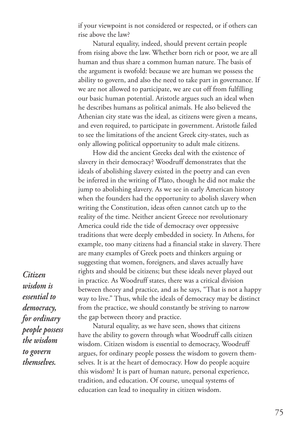if your viewpoint is not considered or respected, or if others can rise above the law?

Natural equality, indeed, should prevent certain people from rising above the law. Whether born rich or poor, we are all human and thus share a common human nature. The basis of the argument is twofold: because we are human we possess the ability to govern, and also the need to take part in governance. If we are not allowed to participate, we are cut off from fulfilling our basic human potential. Aristotle argues such an ideal when he describes humans as political animals. He also believed the Athenian city state was the ideal, as citizens were given a means, and even required, to participate in government. Aristotle failed to see the limitations of the ancient Greek city-states, such as only allowing political opportunity to adult male citizens.

How did the ancient Greeks deal with the existence of slavery in their democracy? Woodruff demonstrates that the ideals of abolishing slavery existed in the poetry and can even be inferred in the writing of Plato, though he did not make the jump to abolishing slavery. As we see in early American history when the founders had the opportunity to abolish slavery when writing the Constitution, ideas often cannot catch up to the reality of the time. Neither ancient Greece nor revolutionary America could ride the tide of democracy over oppressive traditions that were deeply embedded in society. In Athens, for example, too many citizens had a financial stake in slavery. There are many examples of Greek poets and thinkers arguing or suggesting that women, foreigners, and slaves actually have rights and should be citizens; but these ideals never played out in practice. As Woodruff states, there was a critical division between theory and practice, and as he says, "That is not a happy way to live." Thus, while the ideals of democracy may be distinct from the practice, we should constantly be striving to narrow the gap between theory and practice.

*wisdom is essential to democracy, for ordinary people possess the wisdom to govern themselves.*

*Citizen*

Natural equality, as we have seen, shows that citizens have the ability to govern through what Woodruff calls citizen wisdom. Citizen wisdom is essential to democracy, Woodruff argues, for ordinary people possess the wisdom to govern themselves. It is at the heart of democracy. How do people acquire this wisdom? It is part of human nature, personal experience, tradition, and education. Of course, unequal systems of education can lead to inequality in citizen wisdom.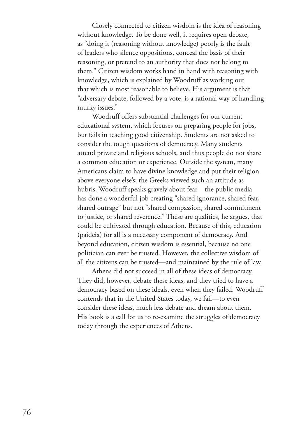Closely connected to citizen wisdom is the idea of reasoning without knowledge. To be done well, it requires open debate, as "doing it (reasoning without knowledge) poorly is the fault of leaders who silence oppositions, conceal the basis of their reasoning, or pretend to an authority that does not belong to them." Citizen wisdom works hand in hand with reasoning with knowledge, which is explained by Woodruff as working out that which is most reasonable to believe. His argument is that "adversary debate, followed by a vote, is a rational way of handling murky issues."

Woodruff offers substantial challenges for our current educational system, which focuses on preparing people for jobs, but fails in teaching good citizenship. Students are not asked to consider the tough questions of democracy. Many students attend private and religious schools, and thus people do not share a common education or experience. Outside the system, many Americans claim to have divine knowledge and put their religion above everyone else's; the Greeks viewed such an attitude as hubris. Woodruff speaks gravely about fear—the public media has done a wonderful job creating "shared ignorance, shared fear, shared outrage" but not "shared compassion, shared commitment to justice, or shared reverence." These are qualities, he argues, that could be cultivated through education. Because of this, education (paideia) for all is a necessary component of democracy. And beyond education, citizen wisdom is essential, because no one politician can ever be trusted. However, the collective wisdom of all the citizens can be trusted—and maintained by the rule of law.

Athens did not succeed in all of these ideas of democracy. They did, however, debate these ideas, and they tried to have a democracy based on these ideals, even when they failed. Woodruff contends that in the United States today, we fail—to even consider these ideas, much less debate and dream about them. His book is a call for us to re-examine the struggles of democracy today through the experiences of Athens.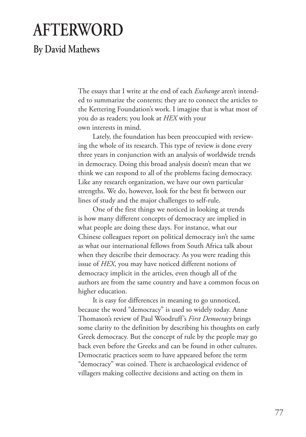## **AFTERWORD**

### **By David Mathews**

The essays that I write at the end of each *Exchange* aren't intended to summarize the contents; they are to connect the articles to the Kettering Foundation's work. I imagine that is what most of you do as readers; you look at *HEX* with your own interests in mind.

Lately, the foundation has been preoccupied with reviewing the whole of its research. This type of review is done every three years in conjunction with an analysis of worldwide trends in democracy. Doing this broad analysis doesn't mean that we think we can respond to all of the problems facing democracy. Like any research organization, we have our own particular strengths. We do, however, look for the best fit between our lines of study and the major challenges to self-rule.

One of the first things we noticed in looking at trends is how many different concepts of democracy are implied in what people are doing these days. For instance, what our Chinese colleagues report on political democracy isn't the same as what our international fellows from South Africa talk about when they describe their democracy. As you were reading this issue of *HEX*, you may have noticed different notions of democracy implicit in the articles, even though all of the authors are from the same country and have a common focus on higher education.

It is easy for differences in meaning to go unnoticed, because the word "democracy" is used so widely today. Anne Thomason's review of Paul Woodruff's *First Democracy* brings some clarity to the definition by describing his thoughts on early Greek democracy. But the concept of rule by the people may go back even before the Greeks and can be found in other cultures. Democratic practices seem to have appeared before the term "democracy" was coined. There is archaeological evidence of villagers making collective decisions and acting on them in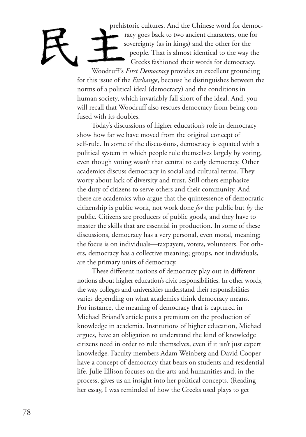prehistoric cultures. And the Chinese word for democracy goes back to two ancient characters, one for sovereignty (as in kings) and the other for the people. That is almost identical to the way the Greeks fashioned their words for democracy.

Woodruff's *First Democracy* provides an excellent grounding for this issue of the *Exchange*, because he distinguishes between the norms of a political ideal (democracy) and the conditions in human society, which invariably fall short of the ideal. And, you will recall that Woodruff also rescues democracy from being confused with its doubles.

Today's discussions of higher education's role in democracy show how far we have moved from the original concept of self-rule. In some of the discussions, democracy is equated with a political system in which people rule themselves largely by voting, even though voting wasn't that central to early democracy. Other academics discuss democracy in social and cultural terms. They worry about lack of diversity and trust. Still others emphasize the duty of citizens to serve others and their community. And there are academics who argue that the quintessence of democratic citizenship is public work, not work done *for* the public but *by* the public. Citizens are producers of public goods, and they have to master the skills that are essential in production. In some of these discussions, democracy has a very personal, even moral, meaning; the focus is on individuals—taxpayers, voters, volunteers. For others, democracy has a collective meaning; groups, not individuals, are the primary units of democracy.

These different notions of democracy play out in different notions about higher education's civic responsibilities. In other words, the way colleges and universities understand their responsibilities varies depending on what academics think democracy means. For instance, the meaning of democracy that is captured in Michael Briand's article puts a premium on the production of knowledge in academia. Institutions of higher education, Michael argues, have an obligation to understand the kind of knowledge citizens need in order to rule themselves, even if it isn't just expert knowledge. Faculty members Adam Weinberg and David Cooper have a concept of democracy that bears on students and residential life. Julie Ellison focuses on the arts and humanities and, in the process, gives us an insight into her political concepts. (Reading her essay, I was reminded of how the Greeks used plays to get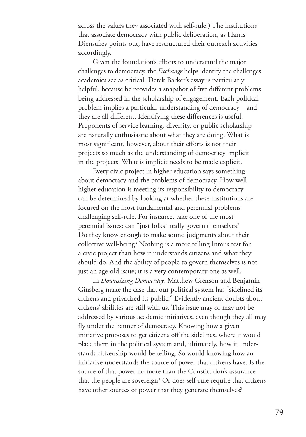across the values they associated with self-rule.) The institutions that associate democracy with public deliberation, as Harris Dienstfrey points out, have restructured their outreach activities accordingly.

Given the foundation's efforts to understand the major challenges to democracy, the *Exchange* helps identify the challenges academics see as critical. Derek Barker's essay is particularly helpful, because he provides a snapshot of five different problems being addressed in the scholarship of engagement. Each political problem implies a particular understanding of democracy—and they are all different. Identifying these differences is useful. Proponents of service learning, diversity, or public scholarship are naturally enthusiastic about what they are doing. What is most significant, however, about their efforts is not their projects so much as the understanding of democracy implicit in the projects. What is implicit needs to be made explicit.

Every civic project in higher education says something about democracy and the problems of democracy. How well higher education is meeting its responsibility to democracy can be determined by looking at whether these institutions are focused on the most fundamental and perennial problems challenging self-rule. For instance, take one of the most perennial issues: can "just folks" really govern themselves? Do they know enough to make sound judgments about their collective well-being? Nothing is a more telling litmus test for a civic project than how it understands citizens and what they should do. And the ability of people to govern themselves is not just an age-old issue; it is a very contemporary one as well.

In *Downsizing Democracy*, Matthew Crenson and Benjamin Ginsberg make the case that our political system has "sidelined its citizens and privatized its public." Evidently ancient doubts about citizens' abilities are still with us. This issue may or may not be addressed by various academic initiatives, even though they all may fly under the banner of democracy. Knowing how a given initiative proposes to get citizens off the sidelines, where it would place them in the political system and, ultimately, how it understands citizenship would be telling. So would knowing how an initiative understands the source of power that citizens have. Is the source of that power no more than the Constitution's assurance that the people are sovereign? Or does self-rule require that citizens have other sources of power that they generate themselves?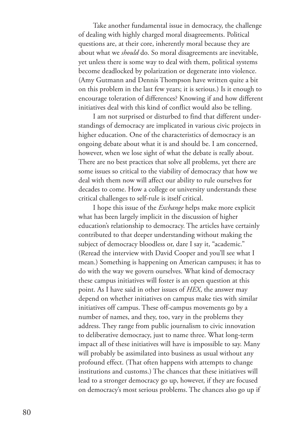Take another fundamental issue in democracy, the challenge of dealing with highly charged moral disagreements. Political questions are, at their core, inherently moral because they are about what we *should* do. So moral disagreements are inevitable, yet unless there is some way to deal with them, political systems become deadlocked by polarization or degenerate into violence. (Amy Gutmann and Dennis Thompson have written quite a bit on this problem in the last few years; it is serious.) Is it enough to encourage toleration of differences? Knowing if and how different initiatives deal with this kind of conflict would also be telling.

I am not surprised or disturbed to find that different understandings of democracy are implicated in various civic projects in higher education. One of the characteristics of democracy is an ongoing debate about what it is and should be. I am concerned, however, when we lose sight of what the debate is really about. There are no best practices that solve all problems, yet there are some issues so critical to the viability of democracy that how we deal with them now will affect our ability to rule ourselves for decades to come. How a college or university understands these critical challenges to self-rule is itself critical.

I hope this issue of the *Exchange* helps make more explicit what has been largely implicit in the discussion of higher education's relationship to democracy. The articles have certainly contributed to that deeper understanding without making the subject of democracy bloodless or, dare I say it, "academic." (Reread the interview with David Cooper and you'll see what I mean.) Something is happening on American campuses; it has to do with the way we govern ourselves. What kind of democracy these campus initiatives will foster is an open question at this point. As I have said in other issues of *HEX*, the answer may depend on whether initiatives on campus make ties with similar initiatives off campus. These off-campus movements go by a number of names, and they, too, vary in the problems they address. They range from public journalism to civic innovation to deliberative democracy, just to name three. What long-term impact all of these initiatives will have is impossible to say. Many will probably be assimilated into business as usual without any profound effect. (That often happens with attempts to change institutions and customs.) The chances that these initiatives will lead to a stronger democracy go up, however, if they are focused on democracy's most serious problems. The chances also go up if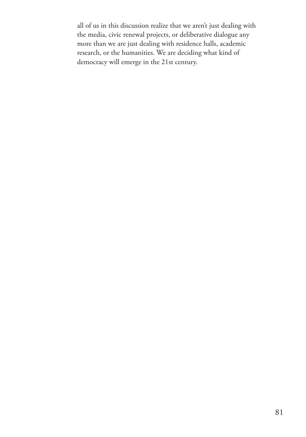all of us in this discussion realize that we aren't just dealing with the media, civic renewal projects, or deliberative dialogue any more than we are just dealing with residence halls, academic research, or the humanities. We are deciding what kind of democracy will emerge in the 21st century.